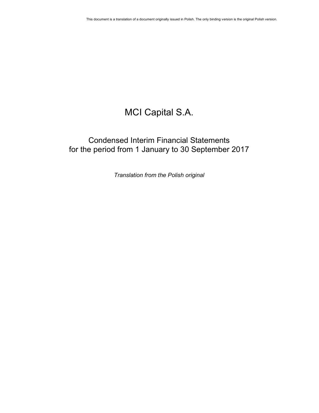# MCI Capital S.A.

## Condensed Interim Financial Statements for the period from 1 January to 30 September 2017

Translation from the Polish original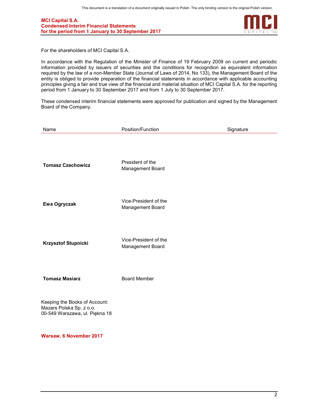

For the shareholders of MCI Capital S.A.

In accordance with the Regulation of the Minister of Finance of 19 February 2009 on current and periodic information provided by issuers of securities and the conditions for recognition as equivalent information required by the law of a non-Member State (Journal of Laws of 2014, No 133), the Management Board of the entity is obliged to provide preparation of the financial statements in accordance with applicable accounting principles giving a fair and true view of the financial and material situation of MCI Capital S.A. for the reporting period from 1 January to 30 September 2017 and from 1 July to 30 September 2017.

These condensed interim financial statements were approved for publication and signed by the Management Board of the Company.

| Name                                                                                        | Position/Function                         | Signature |
|---------------------------------------------------------------------------------------------|-------------------------------------------|-----------|
| <b>Tomasz Czechowicz</b>                                                                    | President of the<br>Management Board      |           |
| Ewa Ogryczak                                                                                | Vice-President of the<br>Management Board |           |
| <b>Krzysztof Stupnicki</b>                                                                  | Vice-President of the<br>Management Board |           |
| <b>Tomasz Masiarz</b>                                                                       | <b>Board Member</b>                       |           |
| Keeping the Books of Account:<br>Mazars Polska Sp. z o.o.<br>00-549 Warszawa, ul. Piękna 18 |                                           |           |

Warsaw, 6 November 2017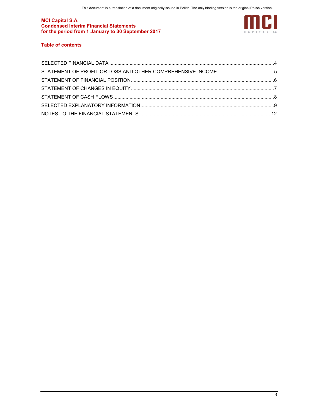

## Table of contents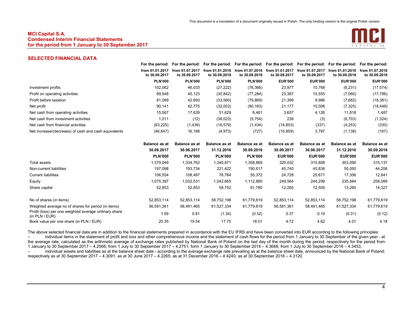

## SELECTED FINANCIAL DATA

|                                                      |                                  |                                  | For the period: For the period: For the period: For the period: For the period: For the period: For the period: For the period: |                                  |                                  |                                  |                                  |                                  |
|------------------------------------------------------|----------------------------------|----------------------------------|---------------------------------------------------------------------------------------------------------------------------------|----------------------------------|----------------------------------|----------------------------------|----------------------------------|----------------------------------|
|                                                      | from 01.01.2017<br>to 30.09.2017 | from 01.07.2017<br>to 30.09.2017 | from 01.01.2016<br>to 30.09.2016                                                                                                | from 01.07.2016<br>to 30.09.2016 | from 01.01.2017<br>to 30.09.2017 | from 01.07.2017<br>to 30.09.2017 | from 01.01.2016<br>to 30,09,2016 | from 01.07.2016<br>to 30.09.2016 |
|                                                      | <b>PLN'000</b>                   | <b>PLN'000</b>                   | <b>PLN'000</b>                                                                                                                  | <b>PLN'000</b>                   | <b>EUR'000</b>                   | <b>EUR'000</b>                   | <b>EUR'000</b>                   | <b>EUR'000</b>                   |
| Investment profits                                   | 102.062                          | 46,033                           | (27, 222)                                                                                                                       | (76, 366)                        | 23,977                           | 10,768                           | (6,231)                          | (17, 574)                        |
| Profit on operating activities                       | 99,548                           | 45,123                           | (30, 842)                                                                                                                       | (77, 284)                        | 23,387                           | 10,555                           | (7,060)                          | (17, 786)                        |
| Profit before taxation                               | 91.089                           | 42,693                           | (33, 560)                                                                                                                       | (79, 869)                        | 21,399                           | 9,986                            | (7,682)                          | (18, 381)                        |
| Net profit                                           | 90,141                           | 42,775                           | (32,003)                                                                                                                        | (80, 163)                        | 21,177                           | 10,006                           | (7, 325)                         | (18, 448)                        |
| Net cash from operating activities                   | 15.567                           | 17,639                           | 51,629                                                                                                                          | 6,461                            | 3,657                            | 4,126                            | 11,818                           | 1,487                            |
| Net cash from investment activities                  | 1.011                            | (12)                             | (38,023)                                                                                                                        | (5,754)                          | 238                              | (3)                              | (8,703)                          | (1, 324)                         |
| Net cash from financial activities                   | (63, 225)                        | (1, 439)                         | (18, 579)                                                                                                                       | (1,434)                          | (14, 853)                        | (337)                            | (4,253)                          | (330)                            |
| Net increase/(decrease) of cash and cash equivalents | (46, 647)                        | 16,188                           | (4, 973)                                                                                                                        | (727)                            | (10, 959)                        | 3,787                            | (1, 138)                         | (167)                            |
|                                                      |                                  |                                  |                                                                                                                                 |                                  |                                  |                                  |                                  |                                  |

|                                                                         | <b>Balance as at</b> | <b>Balance as at</b> | <b>Balance as at</b> | <b>Balance as at</b> | <b>Balance as at</b> | <b>Balance as at</b> | <b>Balance as at</b> | <b>Balance as at</b> |
|-------------------------------------------------------------------------|----------------------|----------------------|----------------------|----------------------|----------------------|----------------------|----------------------|----------------------|
|                                                                         | 30.09.2017           | 30.06.2017           | 31.12.2016           | 30.09.2016           | 30.09.2017           | 30.06.2017           | 31.12.2016           | 30.09.2016           |
|                                                                         | <b>PLN'000</b>       | <b>PLN'000</b>       | <b>PLN'000</b>       | <b>PLN'000</b>       | <b>EUR'000</b>       | <b>EUR'000</b>       | <b>EUR'000</b>       | <b>EUR'000</b>       |
| Total assets                                                            | 1.379.049            | 1,334,762            | 1,340,871            | 1,358,869            | 320,032              | 315,808              | 303,090              | 315,137              |
| Non-current liabilities                                                 | 197.098              | 193.734              | 221.422              | 190,617              | 45,740               | 45,838               | 50,050               | 44,206               |
| <b>Current liabilities</b>                                              | 106,554              | 108,497              | 76,784               | 55,372               | 24,728               | 25,671               | 17,356               | 12,841               |
| Equity                                                                  | 1,075,397            | 1,032,531            | 1,042,665            | 1,112,880            | 249,564              | 244,299              | 235,684              | 258,089              |
| Share capital                                                           | 52,853               | 52,853               | 58,752               | 61,780               | 12,265               | 12,505               | 13,280               | 14,327               |
| No of shares (in items)                                                 | 52.853.114           | 52,853,114           | 58.752.198           | 61.779.619           | 52,853,114           | 52,853,114           | 58,752,198           | 61,779,619           |
| Weighted average no of shares for period (in items)                     | 56,591,361           | 58,491,465           | 61,527,334           | 61,779,619           | 56,591,361           | 58,491,465           | 61,527,334           | 61,779,619           |
| Profit (loss) per one weighted average ordinary share<br>(in PLN / EUR) | 1.59                 | 0.81                 | (1.34)               | (0.52)               | 0.37                 | 0.19                 | (0.31)               | (0.12)               |
| Book value per one share (in PLN / EUR)                                 | 20.35                | 19.54                | 17.75                | 18.01                | 4.72                 | 4.62                 | 4.01                 | 4.18                 |

The above selected financial data are in addition to the financial statements prepared in accordance with the EU IFRS and have been converted into EUR according to the following principles: – individual items in the statement of profit and loss and other comprehensive income and the statement of cash flows for the period from 1 January to 30 September of the given year - at the average rate, calculated as the arithmetic average of exchange rates published by National Bank of Poland on the last day of the month during the period; respectively for the period from 1 January to 30 September 2017 – 4.2566; from 1 July to 30 September 2017 – 4.2751; form 1 January to 30 September 2016 – 4.3688; from 1 July to 30 September 2016 – 4.3453; – individual assets and liabilities as at the balance sheet date - according to the average exchange rate prevailing as at the balance sheet date, announced by the National Bank of Poland; respectively as at 30 September 2017 – 4.3091, as at 30 June 2017 – 4.2265; as at 31 December 2016 – 4.4240, as at 30 September 2016 – 4.3120.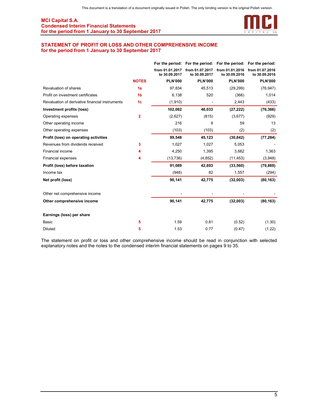

## STATEMENT OF PROFIT OR LOSS AND OTHER COMPREHENSIVE INCOME for the period from 1 January to 30 September 2017

|                                                 |                |                                  | For the period: For the period: For the period: For the period: |                                  |                                  |
|-------------------------------------------------|----------------|----------------------------------|-----------------------------------------------------------------|----------------------------------|----------------------------------|
|                                                 |                | from 01.01.2017<br>to 30.09.2017 | from 01.07.2017<br>to 30.09.2017                                | from 01.01.2016<br>to 30.09.2016 | from 01.07.2016<br>to 30.09.2016 |
|                                                 | <b>NOTES</b>   | <b>PLN'000</b>                   | <b>PLN'000</b>                                                  | <b>PLN'000</b>                   | <b>PLN'000</b>                   |
| Revaluation of shares                           | 1a             | 97,834                           | 45,513                                                          | (29, 299)                        | (76, 947)                        |
| Profit on investment certificates               | 1 <sub>b</sub> | 6,138                            | 520                                                             | (366)                            | 1,014                            |
| Revaluation of derivative financial instruments | 1 <sub>c</sub> | (1,910)                          |                                                                 | 2,443                            | (433)                            |
| Investment profits (loss)                       |                | 102,062                          | 46,033                                                          | (27, 222)                        | (76, 366)                        |
| Operating expenses                              | $\overline{2}$ | (2,627)                          | (815)                                                           | (3,677)                          | (929)                            |
| Other operating income                          |                | 216                              | 8                                                               | 59                               | 13                               |
| Other operating expenses                        |                | (103)                            | (103)                                                           | (2)                              | (2)                              |
| Profit (loss) on operating activities           |                | 99,548                           | 45,123                                                          | (30, 842)                        | (77, 284)                        |
| Revenues from dividends received                | 3              | 1,027                            | 1,027                                                           | 5,053                            |                                  |
| Financial income                                | 4              | 4,250                            | 1,395                                                           | 3,682                            | 1,363                            |
| <b>Financial expenses</b>                       | 4              | (13, 736)                        | (4, 852)                                                        | (11, 453)                        | (3,948)                          |
| Profit (loss) before taxation                   |                | 91,089                           | 42,693                                                          | (33, 560)                        | (79, 869)                        |
| Income tax                                      |                | (948)                            | 82                                                              | 1,557                            | (294)                            |
| Net profit (loss)                               |                | 90,141                           | 42,775                                                          | (32,003)                         | (80, 163)                        |
| Other net comprehensive income                  |                |                                  |                                                                 |                                  |                                  |
| Other comprehensive income                      |                | 90,141                           | 42,775                                                          | (32,003)                         | (80, 163)                        |
| Earnings (loss) per share                       |                |                                  |                                                                 |                                  |                                  |
| Basic                                           | 5              | 1.59                             | 0.81                                                            | (0.52)                           | (1.30)                           |
| <b>Diluted</b>                                  | 5              | 1.53                             | 0.77                                                            | (0.47)                           | (1.22)                           |

The statement on profit or loss and other comprehensive income should be read in conjunction with selected explanatory notes and the notes to the condensed interim financial statements on pages 9 to 35.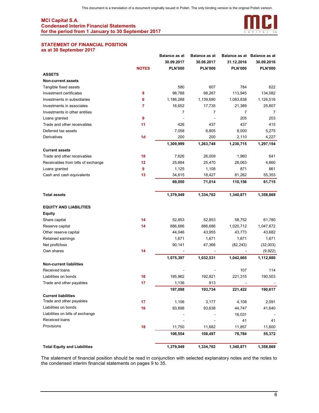

#### STATEMENT OF FINANCIAL POSITION as at 30 September 2017

|                                     |                | <b>Balance as at</b> | <b>Balance as at</b> |                | Balance as at Balance as at |
|-------------------------------------|----------------|----------------------|----------------------|----------------|-----------------------------|
|                                     |                | 30.09.2017           | 30.06.2017           | 31.12.2016     | 30.09.2016                  |
|                                     | <b>NOTES</b>   | <b>PLN'000</b>       | <b>PLN'000</b>       | <b>PLN'000</b> | <b>PLN'000</b>              |
| <b>ASSETS</b>                       |                |                      |                      |                |                             |
| <b>Non-current assets</b>           |                |                      |                      |                |                             |
| Tangible fixed assets               |                | 580                  | 607                  | 784            | 622                         |
| Investment certificates             | 8              | 98,788               | 98,267               | 113,945        | 134,082                     |
| Investments in subsidiaries         | 6              | 1,186,288            | 1,139,690            | 1,083,838      | 1,126,516                   |
| Investments in associates           | 7              | 16,652               | 17,735               | 21,389         | 25,807                      |
| Investments in other entities       |                | 7                    | $\overline{7}$       | $\overline{7}$ | 7                           |
| Loans granted                       | 9              |                      |                      | 205            | 203                         |
| Trade and other receivables         | 11             | 426                  | 437                  | 437            | 415                         |
| Deferred tax assets                 |                | 7,058                | 6,805                | 8,000          | 5,275                       |
| Derivatives                         | 1 <sub>d</sub> | 200                  | 200                  | 2,110          | 4,227                       |
|                                     |                | 1,309,999            | 1,263,748            | 1,230,715      | 1,297,154                   |
| <b>Current assets</b>               |                |                      |                      |                |                             |
| Trade and other receivables         | 10             | 7,626                | 26,009               | 1,960          | 641                         |
| Receivables from bills of exchange  | 12             | 25,684               | 25,470               | 26,063         | 4,860                       |
| Loans granted                       | 9              | 1,125                | 1,108                | 871            | 861                         |
| Cash and cash equivalents           | 13             | 34,615               | 18,427               | 81,262         | 55,353                      |
|                                     |                | 69,050               | 71,014               | 110,156        | 61,715                      |
|                                     |                |                      |                      |                |                             |
| <b>Total assets</b>                 |                | 1,379,049            | 1,334,762            | 1,340,871      | 1,358,869                   |
|                                     |                |                      |                      |                |                             |
| <b>EQUITY AND LIABILITIES</b>       |                |                      |                      |                |                             |
| <b>Equity</b>                       |                |                      |                      |                |                             |
| Share capital                       | 14             | 52,853               | 52,853               | 58,752         | 61,780                      |
| Reserve capital                     | 14             | 886,686              | 886,686              | 1,020,712      | 1,047,672                   |
| Other reserve capital               |                | 44,046               | 43,955               | 43,773         | 43,682                      |
| Retained earnings                   |                | 1,671                | 1,671                | 1,671          | 1,671                       |
| Net profit/loss                     |                | 90,141               | 47,366               | (82, 243)      | (32,003)                    |
| Own shares                          | 14             |                      |                      |                | (9,922)                     |
|                                     |                | 1,075,397            | 1,032,531            | 1,042,665      | 1,112,880                   |
| <b>Non-current liabilities</b>      |                |                      |                      |                |                             |
| Received loans                      |                |                      |                      | 107            | 114                         |
| Liabilities on bonds                | 16             | 195,962              | 192,821              | 221,315        | 190,503                     |
| Trade and other payables            | 17             | 1,136                | 913                  |                |                             |
|                                     |                | 197,098              | 193,734              | 221,422        | 190,617                     |
| <b>Current liabilities</b>          |                |                      |                      |                |                             |
| Trade and other payables            | 17             | 1,106                | 3,177                | 4,108          | 2,091                       |
| Liabilities on bonds                | 16             | 93,698               | 93,638               | 44,747         | 41,640                      |
| Liabilities on bills of exchange    |                |                      |                      | 16,031         |                             |
| Received loans                      |                |                      |                      | 41             | 41                          |
| Provisions                          | 18             | 11,750               | 11,682               | 11,857         | 11,600                      |
|                                     |                | 106,554              | 108,497              | 76,784         | 55,372                      |
|                                     |                |                      |                      |                |                             |
| <b>Total Equity and Liabilities</b> |                | 1,379,049            | 1,334,762            | 1,340,871      | 1,358,869                   |
|                                     |                |                      |                      |                |                             |

The statement of financial position should be read in conjunction with selected explanatory notes and the notes to the condensed interim financial statements on pages 9 to 35.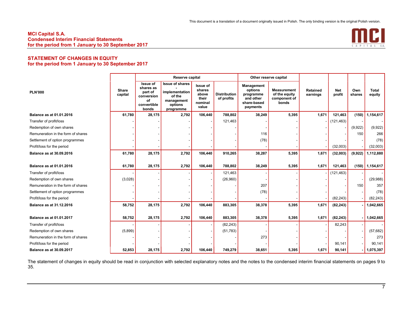

## STATEMENT OF CHANGES IN EQUITY for the period from 1 January to 30 September 2017

|                                    |                  | <b>Reserve capital</b>                                                              |                                                                                          |                                                                 | Other reserve capital             |                                                                            |                                                              |                             |                      |               |                        |
|------------------------------------|------------------|-------------------------------------------------------------------------------------|------------------------------------------------------------------------------------------|-----------------------------------------------------------------|-----------------------------------|----------------------------------------------------------------------------|--------------------------------------------------------------|-----------------------------|----------------------|---------------|------------------------|
| <b>PLN'000</b>                     | Share<br>capital | <b>Issue of</b><br>shares as<br>part of<br>conversion<br>οf<br>convertible<br>bonds | <b>Issue of shares</b><br>implementation<br>of the<br>management<br>options<br>programme | <b>Issue of</b><br>shares<br>above<br>their<br>nominal<br>value | <b>Distribution</b><br>of profits | Management<br>options<br>programme<br>and other<br>share-based<br>payments | <b>Measurement</b><br>of the equity<br>component of<br>bonds | <b>Retained</b><br>earnings | <b>Net</b><br>profit | Own<br>shares | <b>Total</b><br>equity |
| Balance as at 01.01.2016           | 61,780           | 28,175                                                                              | 2,792                                                                                    | 106,440                                                         | 788,802                           | 38,249                                                                     | 5,395                                                        | 1,671                       | 121,463              | (150)         | 1,154,617              |
| Transfer of profit/loss            |                  |                                                                                     |                                                                                          |                                                                 | 121,463                           |                                                                            |                                                              |                             | (121, 463)           |               |                        |
| Redemption of own shares           |                  |                                                                                     |                                                                                          |                                                                 |                                   |                                                                            |                                                              |                             |                      | (9,922)       | (9,922)                |
| Remuneration in the form of shares |                  |                                                                                     |                                                                                          |                                                                 |                                   | 116                                                                        |                                                              |                             |                      | 150           | 266                    |
| Settlement of option programmes    |                  |                                                                                     |                                                                                          |                                                                 |                                   | (78)                                                                       |                                                              |                             |                      |               | (78)                   |
| Profit/loss for the period         |                  |                                                                                     |                                                                                          |                                                                 |                                   |                                                                            |                                                              |                             | (32,003)             |               | (32,003)               |
| Balance as at 30.09.2016           | 61,780           | 28,175                                                                              | 2,792                                                                                    | 106,440                                                         | 910,265                           | 38,287                                                                     | 5,395                                                        | 1,671                       | (32,003)             | (9,922)       | 1,112,880              |
| Balance as at 01.01.2016           | 61,780           | 28,175                                                                              | 2,792                                                                                    | 106,440                                                         | 788,802                           | 38,249                                                                     | 5,395                                                        | 1,671                       | 121,463              | (150)         | 1,154,617              |
| Transfer of profit/loss            |                  |                                                                                     |                                                                                          |                                                                 | 121,463                           |                                                                            |                                                              |                             | (121, 463)           |               |                        |
| Redemption of own shares           | (3,028)          |                                                                                     |                                                                                          |                                                                 | (26,960)                          |                                                                            |                                                              |                             |                      |               | (29,988)               |
| Remuneration in the form of shares |                  |                                                                                     |                                                                                          |                                                                 |                                   | 207                                                                        |                                                              |                             |                      | 150           | 357                    |
| Settlement of option programmes    |                  |                                                                                     |                                                                                          |                                                                 |                                   | (78)                                                                       |                                                              |                             |                      |               | (78)                   |
| Profit/loss for the period         |                  |                                                                                     |                                                                                          |                                                                 |                                   |                                                                            |                                                              |                             | (82, 243)            |               | (82, 243)              |
| Balance as at 31.12.2016           | 58,752           | 28,175                                                                              | 2,792                                                                                    | 106,440                                                         | 883,305                           | 38,378                                                                     | 5,395                                                        | 1,671                       | (82, 243)            |               | 1,042,665              |
| Balance as at 01.01.2017           | 58,752           | 28,175                                                                              | 2,792                                                                                    | 106,440                                                         | 883,305                           | 38,378                                                                     | 5,395                                                        | 1,671                       | (82, 243)            |               | 1,042,665              |
| Transfer of profit/loss            |                  |                                                                                     |                                                                                          |                                                                 | (82, 243)                         |                                                                            |                                                              |                             | 82,243               |               |                        |
| Redemption of own shares           | (5,899)          |                                                                                     |                                                                                          |                                                                 | (51, 783)                         |                                                                            |                                                              |                             |                      |               | (57, 682)              |
| Remuneration in the form of shares |                  |                                                                                     |                                                                                          |                                                                 |                                   | 273                                                                        |                                                              |                             |                      |               | 273                    |
| Profit/loss for the period         |                  |                                                                                     |                                                                                          |                                                                 |                                   |                                                                            |                                                              |                             | 90,141               |               | 90,141                 |
| <b>Balance as at 30.09.2017</b>    | 52,853           | 28.175                                                                              | 2,792                                                                                    | 106,440                                                         | 749,279                           | 38,651                                                                     | 5,395                                                        | 1,671                       | 90,141               |               | 1,075,397              |

The statement of changes in equity should be read in conjunction with selected explanatory notes and the notes to the condensed interim financial statements on pages 9 to 35.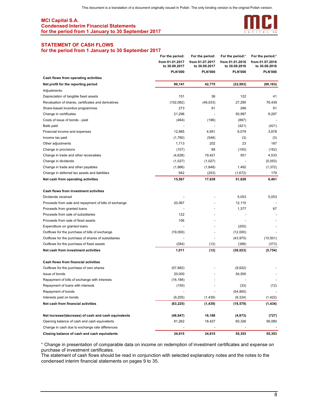

## STATEMENT OF CASH FLOWS

#### for the period from 1 January to 30 September 2017

|                                                       | For the period:                  | For the period:                  | For the period:*                 | For the period:*                 |
|-------------------------------------------------------|----------------------------------|----------------------------------|----------------------------------|----------------------------------|
|                                                       | from 01.01.2017<br>to 30.09.2017 | from 01.07.2017<br>to 30.09.2017 | from 01.01.2016<br>to 30.09.2016 | from 01.07.2016<br>to 30.09.2016 |
|                                                       | <b>PLN'000</b>                   | <b>PLN'000</b>                   | <b>PLN'000</b>                   | <b>PLN'000</b>                   |
| Cash flows from operating activities                  |                                  |                                  |                                  |                                  |
| Net profit for the reporting period                   | 90,141                           | 42,775                           | (32,003)                         | (80, 163)                        |
| Adjustments:                                          |                                  |                                  |                                  |                                  |
| Depreciation of tangible fixed assets                 | 151                              | 36                               | 122                              | 41                               |
| Revaluation of shares, certificates and derivatives   | (102, 062)                       | (46, 033)                        | 27,295                           | 76,439                           |
| Share-based incentive programmes                      | 273                              | 91                               | 266                              | 91                               |
| Change in certificates                                | 21,296                           |                                  | 50,997                           | 8,287                            |
| Costs of issue of bonds - paid                        | (464)                            | (196)                            | (897)                            |                                  |
| Bails paid                                            |                                  |                                  | (421)                            | (421)                            |
| Financial income and expenses                         | 12,985                           | 4,951                            | 6,079                            | 3,878                            |
| Income tax paid                                       | (1,780)                          | (548)                            | (3)                              | (3)                              |
| Other adjustments                                     | 1,713                            | 202                              | 23                               | 187                              |
| Change in provisions                                  | (107)                            | 68                               | (150)                            | (162)                            |
| Change in trade and other receivables                 | (4,628)                          | 19,421                           | 501                              | 4,533                            |
| Change in dividends                                   | (1,027)                          | (1,027)                          |                                  | (5,053)                          |
| Change in trade and other payables                    | (1,866)                          | (1,848)                          | 1,492                            | (1, 372)                         |
| Change in deferred tax assets and liabilities         | 942                              | (253)                            | (1,672)                          | 179                              |
| Net cash from operating activities                    | 15,567                           | 17,639                           | 51,629                           | 6,461                            |
| <b>Cash flows from investment activities</b>          |                                  |                                  |                                  |                                  |
| Dividends received                                    |                                  |                                  | 5,053                            | 5,053                            |
| Proceeds from sale and repayment of bills of exchange | 20,067                           |                                  | 12,110                           |                                  |
| Proceeds from granted loans                           |                                  |                                  | 1,377                            | 67                               |
| Proceeds from sale of subsidiaries                    | 122                              |                                  |                                  |                                  |
| Proceeds from sale of fixed assets                    | 106                              |                                  |                                  |                                  |
| Expenditure on granted loans                          |                                  |                                  | (200)                            |                                  |
| Outflows for the purchase of bills of exchange        | (19,000)                         |                                  | (12,000)                         |                                  |
| Outflows for the purchase of shares of subsidiaries   |                                  |                                  | (43, 975)                        | (10, 501)                        |
| Outflows for the purchase of fixed assets             | (284)                            | (12)                             | (388)                            | (373)                            |
| Net cash from investment activities                   | 1,011                            | (12)                             | (38, 023)                        | (5, 754)                         |
| Cash flows from financial activities                  |                                  |                                  |                                  |                                  |
| Outflows for the purchase of own shares               | (57, 682)                        |                                  | (9,922)                          |                                  |
| Issue of bonds                                        | 20,000                           |                                  | 54,500                           |                                  |
| Repayment of bills of exchange with interests         | (16, 188)                        |                                  |                                  |                                  |
| Repayment of loans with interests                     | (150)                            |                                  | (33)                             | (12)                             |
| Repayment of bonds                                    |                                  |                                  | (54, 800)                        |                                  |
| Interests paid on bonds                               | (9,205)                          | (1, 439)                         | (8, 324)                         | (1, 422)                         |
| Net cash from financial activities                    | (63, 225)                        | (1, 439)                         | (18, 579)                        | (1, 434)                         |
| Net increase/(decrease) of cash and cash equivalents  | (46, 647)                        | 16,188                           | (4, 973)                         | (727)                            |
| Opening balance of cash and cash equivalents          | 81,262                           | 18,427                           | 60,326                           | 56,080                           |
| Change in cash due to exchange rate differences       |                                  |                                  |                                  |                                  |
| Closing balance of cash and cash equivalents          | 34,615                           | 34,615                           | 55,353                           | 55,353                           |

\* Change in presentation of comparable data on income on redemption of investment certificates and expense on purchase of investment certificates.

The statement of cash flows should be read in conjunction with selected explanatory notes and the notes to the condensed interim financial statements on pages 9 to 35.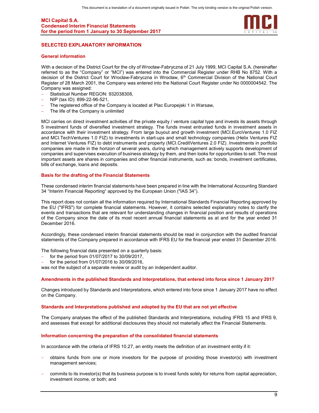

## SELECTED EXPLANATORY INFORMATION

#### General information

With a decision of the District Court for the city of Wrocław-Fabryczna of 21 July 1999, MCI Capital S.A. (hereinafter referred to as the "Company" or "MCI") was entered into the Commercial Register under RHB No 8752. With a decision of the District Court for Wrocław-Fabryczna in Wrocław, 6<sup>th</sup> Commercial Division of the National Court Register of 28 March 2001, the Company was entered into the National Court Register under No 0000004542. The Company was assigned:

- Statistical Number REGON: 932038308,
- NIP (tax ID): 899-22-96-521,
- The registered office of the Company is located at Plac Europejski 1 in Warsaw,
- The life of the Company is unlimited

MCI carries on direct investment activities of the private equity / venture capital type and invests its assets through 5 investment funds of diversified investment strategy. The funds invest entrusted funds in investment assets in accordance with their investment strategy. From large buyout and growth investment (MCI.EuroVentures 1.0 FIZ and MCI.TechVentures 1.0 FIZ) to investments in start-ups and small technology companies (Helix Ventures FIZ and Internet Ventures FIZ) to debt instruments and property (MCI.CreditVentures 2.0 FIZ). Investments in portfolio companies are made in the horizon of several years, during which management actively supports development of companies and supervises execution of business strategy by them, and then looks for opportunities to sell. The most important assets are shares in companies and other financial instruments, such as: bonds, investment certificates, bills of exchange, loans and deposits.

#### Basis for the drafting of the Financial Statements

These condensed interim financial statements have been prepared in line with the International Accounting Standard 34 "Interim Financial Reporting" approved by the European Union ("IAS 34").

This report does not contain all the information required by International Standards Financial Reporting approved by the EU ("IFRS") for complete financial statements. However, it contains selected explanatory notes to clarify the events and transactions that are relevant for understanding changes in financial position and results of operations of the Company since the date of its most recent annual financial statements as at and for the year ended 31 December 2016.

Accordingly, these condensed interim financial statements should be read in conjunction with the audited financial statements of the Company prepared in accordance with IFRS EU for the financial year ended 31 December 2016.

The following financial data presented on a quarterly basis:

- for the period from 01/07/2017 to 30/09/2017,
- for the period from 01/07/2016 to 30/09/2016,

was not the subject of a separate review or audit by an independent auditor.

#### Amendments in the published Standards and Interpretations, that entered into force since 1 January 2017

Changes introduced by Standards and Interpretations, which entered into force since 1 January 2017 have no effect on the Company.

#### Standards and Interpretations published and adopted by the EU that are not yet effective

The Company analyses the effect of the published Standards and Interpretations, including IFRS 15 and IFRS 9, and assesses that except for additional disclosures they should not materially affect the Financial Statements.

#### Information concerning the preparation of the consolidated financial statements

In accordance with the criteria of IFRS 10.27, an entity meets the definition of an investment entity if it:

- obtains funds from one or more investors for the purpose of providing those investor(s) with investment management services;
- commits to its investor(s) that its business purpose is to invest funds solely for returns from capital appreciation, investment income, or both; and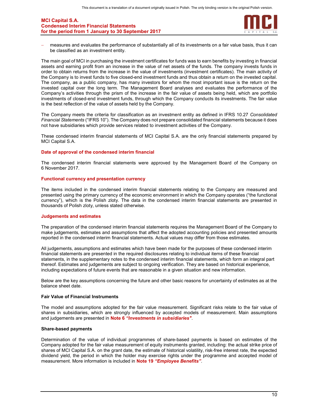

 measures and evaluates the performance of substantially all of its investments on a fair value basis, thus it can be classified as an investment entity.

The main goal of MCI in purchasing the investment certificates for funds was to earn benefits by investing in financial assets and earning profit from an increase in the value of net assets of the funds. The company invests funds in order to obtain returns from the increase in the value of investments (investment certificates). The main activity of the Company is to invest funds to five closed-end investment funds and thus obtain a return on the invested capital. The company, as a public company, has many investors for whom the most important issue is the return on the invested capital over the long term. The Management Board analyses and evaluates the performance of the Company's activities through the prism of the increase in the fair value of assets being held, which are portfolio investments of closed-end investment funds, through which the Company conducts its investments. The fair value is the best reflection of the value of assets held by the Company.

The Company meets the criteria for classification as an investment entity as defined in IFRS 10.27 Consolidated Financial Statements ("IFRS 10"). The Company does not prepare consolidated financial statements because it does not have subsidiaries which provide services related to investment activities of the Company.

These condensed interim financial statements of MCI Capital S.A. are the only financial statements prepared by MCI Capital S.A.

#### Date of approval of the condensed interim financial

The condensed interim financial statements were approved by the Management Board of the Company on 6 November 2017.

#### Functional currency and presentation currency

The items included in the condensed interim financial statements relating to the Company are measured and presented using the primary currency of the economic environment in which the Company operates ("the functional currency"), which is the Polish zloty. The data in the condensed interim financial statements are presented in thousands of Polish zloty, unless stated otherwise.

#### Judgements and estimates

The preparation of the condensed interim financial statements requires the Management Board of the Company to make judgements, estimates and assumptions that affect the adopted accounting policies and presented amounts reported in the condensed interim financial statements. Actual values may differ from those estimates.

All judgements, assumptions and estimates which have been made for the purposes of these condensed interim financial statements are presented in the required disclosures relating to individual items of these financial statements, in the supplementary notes to the condensed interim financial statements, which form an integral part thereof. Estimates and judgements are subject to ongoing verification. They are based on historical experience, including expectations of future events that are reasonable in a given situation and new information.

Below are the key assumptions concerning the future and other basic reasons for uncertainty of estimates as at the balance sheet date.

#### Fair Value of Financial Instruments

The model and assumptions adopted for the fair value measurement. Significant risks relate to the fair value of shares in subsidiaries, which are strongly influenced by accepted models of measurement. Main assumptions and judgements are presented in Note 6 "Investments in subsidiaries".

#### Share-based payments

Determination of the value of individual programmes of share-based payments is based on estimates of the Company adopted for the fair value measurement of equity instruments granted, including: the actual strike price of shares of MCI Capital S.A. on the grant date, the estimate of historical volatility, risk-free interest rate, the expected dividend yield, the period in which the holder may exercise rights under the programme and accepted model of measurement. More information is included in Note 19 "Employee Benefits".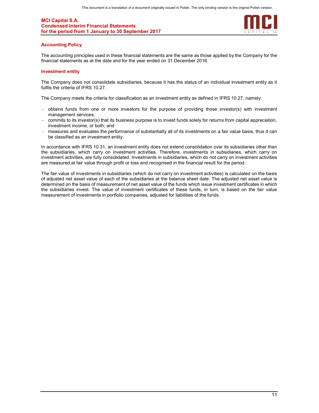

#### Accounting Policy

The accounting principles used in these financial statements are the same as those applied by the Company for the financial statements as at the date and for the year ended on 31 December 2016.

#### Investment entity

The Company does not consolidate subsidiaries, because it has the status of an individual investment entity as it fulfils the criteria of IFRS 10.27.

The Company meets the criteria for classification as an investment entity as defined in IFRS 10.27, namely:

- obtains funds from one or more investors for the purpose of providing those investor(s) with investment management services;
- commits to its investor(s) that its business purpose is to invest funds solely for returns from capital appreciation, investment income, or both; and
- measures and evaluates the performance of substantially all of its investments on a fair value basis, thus it can be classified as an investment entity.

In accordance with IFRS 10.31, an investment entity does not extend consolidation over its subsidiaries other than the subsidiaries, which carry on investment activities. Therefore, investments in subsidiaries, which carry on investment activities, are fully consolidated. Investments in subsidiaries, which do not carry on investment activities are measured at fair value through profit or loss and recognised in the financial result for the period.

The fair value of investments in subsidiaries (which do not carry on investment activities) is calculated on the basis of adjusted net asset value of each of the subsidiaries at the balance sheet date. The adjusted net asset value is determined on the basis of measurement of net asset value of the funds which issue investment certificates in which the subsidiaries invest. The value of investment certificates of these funds, in turn, is based on the fair value measurement of investments in portfolio companies, adjusted for liabilities of the funds.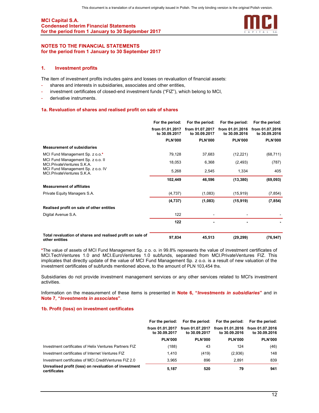

#### NOTES TO THE FINANCIAL STATEMENTS for the period from 1 January to 30 September 2017

### 1. Investment profits

The item of investment profits includes gains and losses on revaluation of financial assets:

- shares and interests in subsidiaries, associates and other entities,
- investment certificates of closed-end investment funds ("FIZ"), which belong to MCI,
- derivative instruments.

#### 1a. Revaluation of shares and realised profit on sale of shares

|                                                                              | For the period:                  | For the period:                  | For the period:                  | For the period:                  |
|------------------------------------------------------------------------------|----------------------------------|----------------------------------|----------------------------------|----------------------------------|
|                                                                              | from 01.01.2017<br>to 30.09.2017 | from 01.07.2017<br>to 30.09.2017 | from 01.01.2016<br>to 30.09.2016 | from 01.07.2016<br>to 30.09.2016 |
|                                                                              | <b>PLN'000</b>                   | <b>PLN'000</b>                   | <b>PLN'000</b>                   | <b>PLN'000</b>                   |
| <b>Measurement of subsidiaries</b>                                           |                                  |                                  |                                  |                                  |
| MCI Fund Management Sp. z o.o.*                                              | 79,128                           | 37,683                           | (12, 221)                        | (68, 711)                        |
| MCI Fund Management Sp. z o.o. II<br>MCI PrivateVentures S.K.A.              | 18,053                           | 6,368                            | (2, 493)                         | (787)                            |
| MCI Fund Management Sp. z o.o. IV<br>MCI.PrivateVentures S.K.A.              | 5,268                            | 2,545                            | 1,334                            | 405                              |
|                                                                              | 102,449                          | 46,596                           | (13, 380)                        | (69, 093)                        |
| <b>Measurement of affiliates</b>                                             |                                  |                                  |                                  |                                  |
| Private Equity Managers S.A.                                                 | (4,737)                          | (1,083)                          | (15, 919)                        | (7, 854)                         |
|                                                                              | (4,737)                          | (1,083)                          | (15, 919)                        | (7, 854)                         |
| Realised profit on sale of other entities                                    |                                  |                                  |                                  |                                  |
| Digital Avenue S.A.                                                          | 122                              |                                  |                                  |                                  |
|                                                                              | 122                              |                                  |                                  |                                  |
| Total revaluation of shares and realised profit on sale of<br>other entities | 97,834                           | 45,513                           | (29, 299)                        | (76, 947)                        |

\*The value of assets of MCI Fund Management Sp. z o. o. in 99.8% represents the value of investment certificates of MCI.TechVentures 1.0 and MCI.EuroVentures 1.0 subfunds, separated from MCI.PrivateVentures FIZ. This implicates that directly update of the value of MCI Fund Management Sp. z o.o. is a result of new valuation of the investment certificates of subfunds mentioned above, to the amount of PLN 103,454 ths.

Subsidiaries do not provide investment management services or any other services related to MCI's investment activities.

Information on the measurement of these items is presented in Note 6, "Investments in subsidiaries" and in Note 7, "Investments in associates".

#### 1b. Profit (loss) on investment certificates

|                                                                       | For the period:                  |                                  | For the period: For the period:  | For the period:                  |
|-----------------------------------------------------------------------|----------------------------------|----------------------------------|----------------------------------|----------------------------------|
|                                                                       | from 01.01.2017<br>to 30,09,2017 | from 01.07.2017<br>to 30.09.2017 | from 01.01.2016<br>to 30.09.2016 | from 01.07.2016<br>to 30,09,2016 |
|                                                                       | <b>PLN'000</b>                   | <b>PLN'000</b>                   | <b>PLN'000</b>                   | <b>PLN'000</b>                   |
| Investment certificates of Helix Ventures Partners FIZ                | (188)                            | 43                               | 124                              | (46)                             |
| Investment certificates of Internet Ventures FIZ                      | 1.410                            | (419)                            | (2,936)                          | 148                              |
| Investment certificates of MCI CreditVentures FIZ 2.0                 | 3.965                            | 896                              | 2.891                            | 839                              |
| Unrealised profit (loss) on revaluation of investment<br>certificates | 5.187                            | 520                              | 79                               | 941                              |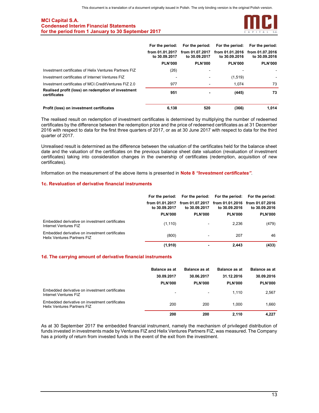

|                                                                    | For the period:                  | For the period:                  | For the period:                  | For the period:                  |
|--------------------------------------------------------------------|----------------------------------|----------------------------------|----------------------------------|----------------------------------|
|                                                                    | from 01.01.2017<br>to 30.09.2017 | from 01.07.2017<br>to 30.09.2017 | from 01.01.2016<br>to 30.09.2016 | from 01.07.2016<br>to 30.09.2016 |
|                                                                    | <b>PLN'000</b>                   | <b>PLN'000</b>                   | <b>PLN'000</b>                   | <b>PLN'000</b>                   |
| Investment certificates of Helix Ventures Partners FIZ             | (26)                             |                                  |                                  |                                  |
| Investment certificates of Internet Ventures FIZ                   | ۰                                |                                  | (1,519)                          |                                  |
| Investment certificates of MCI. Credit Ventures FIZ 2.0            | 977                              | ۰                                | 1.074                            | 73                               |
| Realised profit (loss) on redemption of investment<br>certificates | 951                              |                                  | (445)                            | 73                               |
| Profit (loss) on investment certificates                           | 6.138                            | 520                              | (366)                            | 1.014                            |

The realised result on redemption of investment certificates is determined by multiplying the number of redeemed certificates by the difference between the redemption price and the price of redeemed certificates as at 31 December 2016 with respect to data for the first three quarters of 2017, or as at 30 June 2017 with respect to data for the third quarter of 2017.

Unrealised result is determined as the difference between the valuation of the certificates held for the balance sheet date and the valuation of the certificates on the previous balance sheet date valuation (revaluation of investment certificates) taking into consideration changes in the ownership of certificates (redemption, acquisition of new certificates).

Information on the measurement of the above items is presented in **Note 8 "Investment certificates"**.

#### 1c. Revaluation of derivative financial instruments

|                                                                                      |                                  |                                  | For the period: For the period: For the period: For the period: |                                  |
|--------------------------------------------------------------------------------------|----------------------------------|----------------------------------|-----------------------------------------------------------------|----------------------------------|
|                                                                                      | from 01.01.2017<br>to 30.09.2017 | from 01.07.2017<br>to 30.09.2017 | from 01.01.2016<br>to 30.09.2016                                | from 01.07.2016<br>to 30,09,2016 |
|                                                                                      | <b>PLN'000</b>                   | <b>PLN'000</b>                   | <b>PLN'000</b>                                                  | <b>PLN'000</b>                   |
| Embedded derivative on investment certificates<br>Internet Ventures FIZ              | (1, 110)                         | -                                | 2.236                                                           | (479)                            |
| Embedded derivative on investment certificates<br><b>Helix Ventures Partners FIZ</b> | (800)                            |                                  | 207                                                             | 46                               |
|                                                                                      | (1, 910)                         |                                  | 2.443                                                           | (433)                            |

#### 1d. The carrying amount of derivative financial instruments

|                                                                                      | <b>Balance as at</b><br>30.09.2017<br><b>PLN'000</b> | <b>Balance as at</b><br>30.06.2017<br><b>PLN'000</b> | <b>Balance as at</b><br>31.12.2016<br><b>PLN'000</b> | <b>Balance as at</b><br>30.09.2016<br><b>PLN'000</b> |
|--------------------------------------------------------------------------------------|------------------------------------------------------|------------------------------------------------------|------------------------------------------------------|------------------------------------------------------|
| Embedded derivative on investment certificates<br>Internet Ventures FIZ              | $\blacksquare$                                       | $\blacksquare$                                       | 1.110                                                | 2,567                                                |
| Embedded derivative on investment certificates<br><b>Helix Ventures Partners FIZ</b> | 200                                                  | 200                                                  | 1.000                                                | 1.660                                                |
|                                                                                      | 200                                                  | 200                                                  | 2.110                                                | 4.227                                                |

As at 30 September 2017 the embedded financial instrument, namely the mechanism of privileged distribution of funds invested in investments made by Ventures FIZ and Helix Ventures Partners FIZ, was measured. The Company has a priority of return from invested funds in the event of the exit from the investment.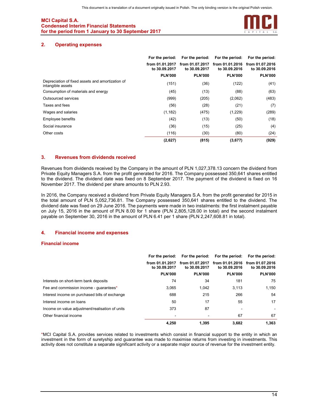

## 2. Operating expenses

|                                                                       | For the period:                  | For the period:                  | For the period:                  | For the period:                  |
|-----------------------------------------------------------------------|----------------------------------|----------------------------------|----------------------------------|----------------------------------|
|                                                                       | from 01.01.2017<br>to 30.09.2017 | from 01.07.2017<br>to 30.09.2017 | from 01.01.2016<br>to 30,09,2016 | from 01.07.2016<br>to 30.09.2016 |
|                                                                       | <b>PLN'000</b>                   | <b>PLN'000</b>                   | <b>PLN'000</b>                   | <b>PLN'000</b>                   |
| Depreciation of fixed assets and amortization of<br>intangible assets | (151)                            | (36)                             | (122)                            | (41)                             |
| Consumption of materials and energy                                   | (45)                             | (13)                             | (88)                             | (63)                             |
| Outsourced services                                                   | (999)                            | (205)                            | (2,062)                          | (483)                            |
| Taxes and fees                                                        | (56)                             | (28)                             | (21)                             | (7)                              |
| Wages and salaries                                                    | (1, 182)                         | (475)                            | (1,229)                          | (289)                            |
| Employee benefits                                                     | (42)                             | (13)                             | (50)                             | (18)                             |
| Social insurance                                                      | (36)                             | (15)                             | (25)                             | (4)                              |
| Other costs                                                           | (116)                            | (30)                             | (80)                             | (24)                             |
|                                                                       | (2,627)                          | (815)                            | (3,677)                          | (929)                            |

## 3. Revenues from dividends received

Revenues from dividends received by the Company in the amount of PLN 1,027,378.13 concern the dividend from Private Equity Managers S.A. from the profit generated for 2016. The Company possessed 350,641 shares entitled to the dividend. The dividend date was fixed on 8 September 2017. The payment of the dividend is fixed on 16 November 2017. The dividend per share amounts to PLN 2.93.

In 2016, the Company received a dividend from Private Equity Managers S.A. from the profit generated for 2015 in the total amount of PLN 5,052,736.81. The Company possessed 350,641 shares entitled to the dividend. The dividend date was fixed on 29 June 2016. The payments were made in two instalments: the first instalment payable on July 15, 2016 in the amount of PLN 8.00 for 1 share (PLN 2,805,128.00 in total) and the second instalment payable on September 30, 2016 in the amount of PLN 6.41 per 1 share (PLN 2,247,608.81 in total).

## 4. Financial income and expenses

#### Financial income

|                                                 | For the period:                  | For the period:                  | For the period:                  | For the period:                  |
|-------------------------------------------------|----------------------------------|----------------------------------|----------------------------------|----------------------------------|
|                                                 | from 01.01.2017<br>to 30.09.2017 | from 01.07.2017<br>to 30.09.2017 | from 01.01.2016<br>to 30,09,2016 | from 01.07.2016<br>to 30,09,2016 |
|                                                 | <b>PLN'000</b>                   | <b>PLN'000</b>                   | <b>PLN'000</b>                   | <b>PLN'000</b>                   |
| Interests on short-term bank deposits           | 74                               | 34                               | 181                              | 75                               |
| Fee and commission income - guarantees*         | 3.065                            | 1.042                            | 3.113                            | 1.150                            |
| Interest income on purchased bills of exchange  | 688                              | 215                              | 266                              | 54                               |
| Interest income on loans                        | 50                               | 17                               | 55                               | 17                               |
| Income on value adjustment/realisation of units | 373                              | 87                               |                                  |                                  |
| Other financial income                          | $\blacksquare$                   |                                  | 67                               | 67                               |
|                                                 | 4.250                            | 1.395                            | 3.682                            | 1.363                            |

\*MCI Capital S.A. provides services related to investments which consist in financial support to the entity in which an investment in the form of suretyship and guarantee was made to maximise returns from investing in investments. This activity does not constitute a separate significant activity or a separate major source of revenue for the investment entity.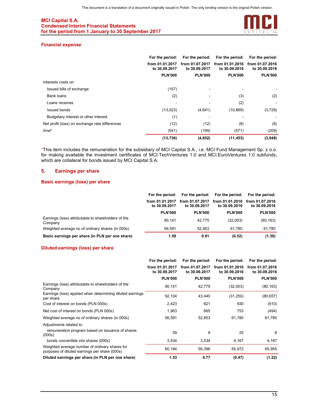

#### Financial expense

|                                                | For the period:                  | For the period:                  | For the period:                  | For the period:                  |
|------------------------------------------------|----------------------------------|----------------------------------|----------------------------------|----------------------------------|
|                                                | from 01.01.2017<br>to 30.09.2017 | from 01.07.2017<br>to 30.09.2017 | from 01.01.2016<br>to 30.09.2016 | from 01.07.2016<br>to 30,09,2016 |
|                                                | <b>PLN'000</b>                   | <b>PLN'000</b>                   | <b>PLN'000</b>                   | <b>PLN'000</b>                   |
| Interests costs on:                            |                                  |                                  |                                  |                                  |
| Issued bills of exchange                       | (157)                            |                                  |                                  |                                  |
| <b>Bank loans</b>                              | (2)                              |                                  | (3)                              | (2)                              |
| Loans receives                                 | -                                |                                  | (2)                              |                                  |
| Issued bonds                                   | (13,023)                         | (4,641)                          | (10, 869)                        | (3,729)                          |
| Budgetary interest or other interest           | (1)                              |                                  |                                  |                                  |
| Net profit (loss) on exchange rate differences | (12)                             | (12)                             | (8)                              | (8)                              |
| $Inne*$                                        | (541)                            | (199)                            | (571)                            | (209)                            |
|                                                | (13, 736)                        | (4, 852)                         | (11, 453)                        | (3,948)                          |

\*This item includes the remuneration for the subsidiary of MCI Capital S.A., i.e. MCI Fund Management Sp. z o.o. for making available the investment certificates of MCI.TechVentures 1.0 and MCI.EuroVentures 1.0 subfunds, which are collateral for bonds issued by MCI Capital S.A.

## 5. Earnings per share

## Basic earnings (loss) per share

|                                                                |                                  |                                  | For the period: For the period: For the period: | For the period:                  |
|----------------------------------------------------------------|----------------------------------|----------------------------------|-------------------------------------------------|----------------------------------|
|                                                                | from 01.01.2017<br>to 30,09,2017 | from 01.07.2017<br>to 30,09,2017 | from 01.01.2016<br>to 30.09.2016                | from 01.07.2016<br>to 30,09,2016 |
|                                                                | <b>PLN'000</b>                   | <b>PLN'000</b>                   | <b>PLN'000</b>                                  | <b>PLN'000</b>                   |
| Earnings (loss) attributable to shareholders of the<br>Company | 90.141                           | 42.775                           | (32,003)                                        | (80, 163)                        |
| Weighted average no of ordinary shares (in 000s)               | 56.591                           | 52.853                           | 61.780                                          | 61.780                           |
| Basic earnings per share (in PLN per one share)                | 1.59                             | 0.81                             | (0.52)                                          | (1.30)                           |

#### Diluted earnings (loss) per share

|                                                                                                 | For the period:                  | For the period:                  | For the period:                  | For the period:                  |
|-------------------------------------------------------------------------------------------------|----------------------------------|----------------------------------|----------------------------------|----------------------------------|
|                                                                                                 | from 01.01.2017<br>to 30.09.2017 | from 01.07.2017<br>to 30.09.2017 | from 01.01.2016<br>to 30,09,2016 | from 01.07.2016<br>to 30.09.2016 |
|                                                                                                 | <b>PLN'000</b>                   | <b>PLN'000</b>                   | <b>PLN'000</b>                   | <b>PLN'000</b>                   |
| Earnings (loss) attributable to shareholders of the<br>Company                                  | 90,141                           | 42,775                           | (32,003)                         | (80, 163)                        |
| Earnings (loss) applied when determining diluted earnings<br>per share                          | 92,104                           | 43,440                           | (31, 250)                        | (80, 657)                        |
| Cost of interest on bonds (PLN 000s)                                                            | 2,423                            | 821                              | 930                              | (610)                            |
| Net cost of interest on bonds (PLN 000s)                                                        | 1,963                            | 665                              | 753                              | (494)                            |
| Weighted average no of ordinary shares (in 000s)                                                | 56,591                           | 52,853                           | 61,780                           | 61,780                           |
| Adjustments related to:                                                                         |                                  |                                  |                                  |                                  |
| remuneration program based on issuance of shares<br>(000s)                                      | 59                               | 9                                | 25                               | 8                                |
| bonds convertible into shares (000s)                                                            | 3,534                            | 3,534                            | 4,167                            | 4,167                            |
| Weighted average number of ordinary shares for<br>purposes of diluted earnings per share (000s) | 60,184                           | 56,396                           | 65,972                           | 65,955                           |
| Diluted earnings per share (in PLN per one share)                                               | 1.53                             | 0.77                             | (0.47)                           | (1.22)                           |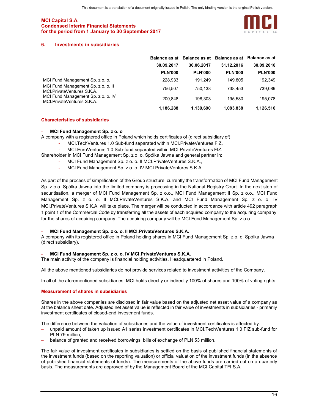

#### 6. Investments in subsidiaries

|                                                                    | <b>Balance as at</b> |                | Balance as at Balance as at Balance as at |                |
|--------------------------------------------------------------------|----------------------|----------------|-------------------------------------------|----------------|
|                                                                    | 30.09.2017           | 30.06.2017     | 31.12.2016                                | 30.09.2016     |
|                                                                    | <b>PLN'000</b>       | <b>PLN'000</b> | <b>PLN'000</b>                            | <b>PLN'000</b> |
| MCI Fund Management Sp. z o. o.                                    | 228,933              | 191.249        | 149.805                                   | 192.349        |
| MCI Fund Management Sp. z o. o. II<br>MCI. Private Ventures S.K.A. | 756.507              | 750.138        | 738.453                                   | 739.089        |
| MCI Fund Management Sp. z o. o. IV<br>MCI Private Ventures S.K.A.  | 200.848              | 198.303        | 195.580                                   | 195.078        |
|                                                                    | 1,186,288            | 1.139.690      | 1,083,838                                 | 1,126,516      |

#### Characteristics of subsidiaries

#### MCI Fund Management Sp. z o. o

A company with a registered office in Poland which holds certificates of (direct subsidiary of):

- MCI.TechVentures 1.0 Sub-fund separated within MCI.PrivateVentures FIZ,
	- MCI.EuroVentures 1.0 Sub-fund separated within MCI.PrivateVentures FIZ.

Shareholder in MCI Fund Management Sp. z o. o. Spółka Jawna and general partner in:

- MCI Fund Management Sp. z o. o. II MCI.PrivateVentures S.K.A.,
	- MCI Fund Management Sp. z o. o. IV MCI.PrivateVentures S.K.A.

As part of the process of simplification of the Group structure, currently the transformation of MCI Fund Management Sp. z o.o. Spółka Jawna into the limited company is processing in the National Registry Court. In the next step of securitisation, a merger of MCI Fund Management Sp. z o.o., MCI Fund Management II Sp. z o.o., MCI Fund Management Sp. z o. o. II MCI.PrivateVentures S.K.A. and MCI Fund Management Sp. z o. o. IV MCI.PrivateVentures S.K.A. will take place. The merger will be conducted in accordance with article 492 paragraph 1 point 1 of the Commercial Code by transferring all the assets of each acquired company to the acquiring company, for the shares of acquiring company. The acquiring company will be MCI Fund Management Sp. z o.o.

#### MCI Fund Management Sp. z o. o. II MCI. PrivateVentures S.K.A.

A company with its registered office in Poland holding shares in MCI Fund Management Sp. z o. o. Spółka Jawna (direct subsidiary).

#### MCI Fund Management Sp. z o. o. IV MCI.PrivateVentures S.K.A.

The main activity of the company is financial holding activities. Headquartered in Poland.

All the above mentioned subsidiaries do not provide services related to investment activities of the Company.

In all of the aforementioned subsidiaries, MCI holds directly or indirectly 100% of shares and 100% of voting rights.

#### Measurement of shares in subsidiaries

Shares in the above companies are disclosed in fair value based on the adjusted net asset value of a company as at the balance sheet date. Adjusted net asset value is reflected in fair value of investments in subsidiaries - primarily investment certificates of closed-end investment funds.

The difference between the valuation of subsidiaries and the value of investment certificates is affected by:

- unpaid amount of taken up issued A1 series investment certificates in MCI.TechVentures 1.0 FIZ sub-fund for PLN 79 million,
- balance of granted and received borrowings, bills of exchange of PLN 53 million.

The fair value of investment certificates in subsidiaries is settled on the basis of published financial statements of the investment funds (based on the reporting valuation) or official valuation of the investment funds (in the absence of published financial statements of funds). The measurements of the above funds are carried out on a quarterly basis. The measurements are approved of by the Management Board of the MCI Capital TFI S.A.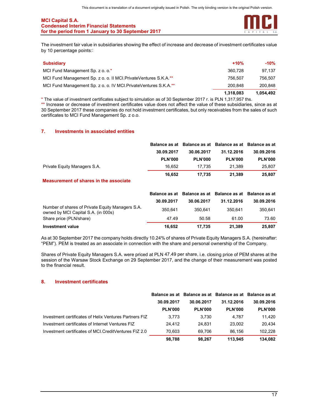

The investment fair value in subsidiaries showing the effect of increase and decrease of investment certificates value by 10 percentage points:

| <b>Subsidiary</b>                                                | $+10%$    | -10%      |
|------------------------------------------------------------------|-----------|-----------|
| MCI Fund Management Sp. z o. o.*                                 | 360.728   | 97.137    |
| MCI Fund Management Sp. z o. o. II MCI Private Ventures S.K.A.** | 756.507   | 756.507   |
| MCI Fund Management Sp. z o. o. IV MCI PrivateVentures S.K.A.**  | 200.848   | 200.848   |
|                                                                  | 1,318,083 | 1,054,492 |

\* The value of investment certificates subject to simulation as of 30 September 2017 r. is PLN 1,317,957 ths.

\*\* Increase or decrease of investment certificates value does not affect the value of these subsidiaries, since as at 30 September 2017 these companies do not hold investment certificates, but only receivables from the sales of such certificates to MCI Fund Management Sp. z o.o.

## 7. Investments in associated entities

|                              |                | Balance as at Balance as at Balance as at Balance as at |                |                |
|------------------------------|----------------|---------------------------------------------------------|----------------|----------------|
|                              | 30.09.2017     | 30.06.2017                                              | 31.12.2016     | 30.09.2016     |
|                              | <b>PLN'000</b> | <b>PLN'000</b>                                          | <b>PLN'000</b> | <b>PLN'000</b> |
| Private Equity Managers S.A. | 16.652         | 17.735                                                  | 21.389         | 25.807         |
|                              | 16.652         | 17.735                                                  | 21.389         | 25,807         |

## Measurement of shares in the associate

|                                                                                         |            | Balance as at Balance as at Balance as at Balance as at |            |            |
|-----------------------------------------------------------------------------------------|------------|---------------------------------------------------------|------------|------------|
|                                                                                         | 30.09.2017 | 30.06.2017                                              | 31.12.2016 | 30.09.2016 |
| Number of shares of Private Equity Managers S.A.<br>owned by MCI Capital S.A. (in 000s) | 350.641    | 350.641                                                 | 350.641    | 350.641    |
| Share price (PLN/share)                                                                 | 47.49      | 50.58                                                   | 61.00      | 73.60      |
| Investment value                                                                        | 16.652     | 17.735                                                  | 21,389     | 25,807     |

As at 30 September 2017 the company holds directly 10.24% of shares of Private Equity Managers S.A. (hereinafter: "PEM"). PEM is treated as an associate in connection with the share and personal ownership of the Company.

Shares of Private Equity Managers S.A. were priced at PLN 47.49 per share, i.e. closing price of PEM shares at the session of the Warsaw Stock Exchange on 29 September 2017, and the change of their measurement was posted to the financial result.

#### 8. Investment certificates

|                                                         |                | Balance as at Balance as at Balance as at Balance as at |                |                |
|---------------------------------------------------------|----------------|---------------------------------------------------------|----------------|----------------|
|                                                         | 30.09.2017     | 30.06.2017                                              | 31.12.2016     | 30.09.2016     |
|                                                         | <b>PLN'000</b> | <b>PLN'000</b>                                          | <b>PLN'000</b> | <b>PLN'000</b> |
| Investment certificates of Helix Ventures Partners FIZ  | 3.773          | 3.730                                                   | 4.787          | 11.420         |
| Investment certificates of Internet Ventures FIZ        | 24.412         | 24.831                                                  | 23.002         | 20.434         |
| Investment certificates of MCI. Credit Ventures FIZ 2.0 | 70.603         | 69.706                                                  | 86.156         | 102.228        |
|                                                         | 98.788         | 98.267                                                  | 113.945        | 134.082        |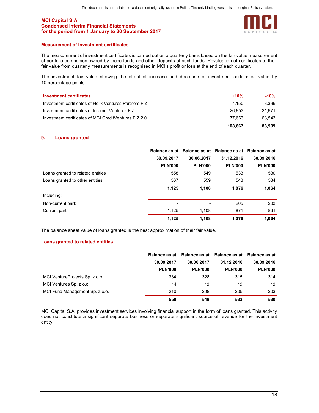

#### Measurement of investment certificates

The measurement of investment certificates is carried out on a quarterly basis based on the fair value measurement of portfolio companies owned by these funds and other deposits of such funds. Revaluation of certificates to their fair value from quarterly measurements is recognised in MCI's profit or loss at the end of each quarter.

The investment fair value showing the effect of increase and decrease of investment certificates value by 10 percentage points:

| <b>Investment certificates</b>                         | $+10%$  | $-10%$ |
|--------------------------------------------------------|---------|--------|
| Investment certificates of Helix Ventures Partners FIZ | 4.150   | 3.396  |
| Investment certificates of Internet Ventures FIZ       | 26.853  | 21.971 |
| Investment certificates of MCI. CreditVentures FIZ 2.0 | 77.663  | 63.543 |
|                                                        | 108.667 | 88,909 |

## 9. Loans granted

|                                   |                | Balance as at Balance as at Balance as at Balance as at |                |                |
|-----------------------------------|----------------|---------------------------------------------------------|----------------|----------------|
|                                   | 30.09.2017     | 30.06.2017                                              | 31.12.2016     | 30.09.2016     |
|                                   | <b>PLN'000</b> | <b>PLN'000</b>                                          | <b>PLN'000</b> | <b>PLN'000</b> |
| Loans granted to related entities | 558            | 549                                                     | 533            | 530            |
| Loans granted to other entities   | 567            | 559                                                     | 543            | 534            |
|                                   | 1,125          | 1,108                                                   | 1,076          | 1,064          |
| Including:                        |                |                                                         |                |                |
| Non-current part:                 | ۰              | $\overline{\phantom{0}}$                                | 205            | 203            |
| Current part:                     | 1,125          | 1,108                                                   | 871            | 861            |
|                                   | 1,125          | 1,108                                                   | 1,076          | 1.064          |

The balance sheet value of loans granted is the best approximation of their fair value.

#### Loans granted to related entities

|                                | Balance as at  | Balance as at Balance as at Balance as at |                |                |
|--------------------------------|----------------|-------------------------------------------|----------------|----------------|
|                                | 30.09.2017     | 30.06.2017                                | 31.12.2016     | 30.09.2016     |
|                                | <b>PLN'000</b> | <b>PLN'000</b>                            | <b>PLN'000</b> | <b>PLN'000</b> |
| MCI VentureProjects Sp. z o.o. | 334            | 328                                       | 315            | 314            |
| MCI Ventures Sp. z o.o.        | 14             | 13                                        | 13             | 13             |
| MCI Fund Management Sp. z o.o. | 210            | 208                                       | 205            | 203            |
|                                | 558            | 549                                       | 533            | 530            |

MCI Capital S.A. provides investment services involving financial support in the form of loans granted. This activity does not constitute a significant separate business or separate significant source of revenue for the investment entity.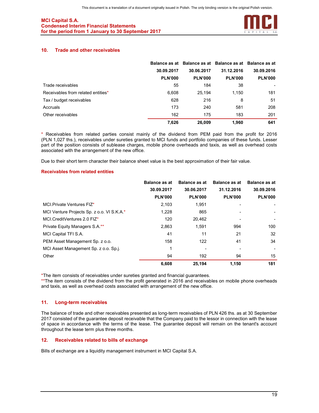

## 10. Trade and other receivables

|                                    | Balance as at  |                | Balance as at Balance as at Balance as at |                |
|------------------------------------|----------------|----------------|-------------------------------------------|----------------|
|                                    | 30.09.2017     | 30.06.2017     | 31.12.2016                                | 30.09.2016     |
|                                    | <b>PLN'000</b> | <b>PLN'000</b> | <b>PLN'000</b>                            | <b>PLN'000</b> |
| Trade receivables                  | 55             | 184            | 38                                        |                |
| Receivables from related entities* | 6,608          | 25,194         | 1,150                                     | 181            |
| Tax / budget receivables           | 628            | 216            | 8                                         | 51             |
| Accruals                           | 173            | 240            | 581                                       | 208            |
| Other receivables                  | 162            | 175            | 183                                       | 201            |
|                                    | 7.626          | 26.009         | 1.960                                     | 641            |

\* Receivables from related parties consist mainly of the dividend from PEM paid from the profit for 2016 (PLN 1,027 ths.), receivables under sureties granted to MCI funds and portfolio companies of these funds. Lesser part of the position consists of sublease charges, mobile phone overheads and taxis, as well as overhead costs associated with the arrangement of the new office.

Due to their short term character their balance sheet value is the best approximation of their fair value.

#### Receivables from related entities

|                                            | <b>Balance as at</b> | <b>Balance as at</b> | <b>Balance as at</b> | <b>Balance as at</b> |
|--------------------------------------------|----------------------|----------------------|----------------------|----------------------|
|                                            | 30.09.2017           | 30.06.2017           | 31.12.2016           | 30.09.2016           |
|                                            | <b>PLN'000</b>       | <b>PLN'000</b>       | <b>PLN'000</b>       | <b>PLN'000</b>       |
| MCI Private Ventures FIZ*                  | 2,103                | 1,951                |                      |                      |
| MCI Venture Projects Sp. z o.o. VI S.K.A.* | 1,228                | 865                  |                      |                      |
| MCI.CreditVentures 2.0 FIZ*                | 120                  | 20,462               |                      |                      |
| Private Equity Managers S.A.**             | 2.863                | 1.591                | 994                  | 100                  |
| MCI Capital TFI S.A.                       | 41                   | 11                   | 21                   | 32                   |
| PEM Asset Management Sp. z o.o.            | 158                  | 122                  | 41                   | 34                   |
| MCI Asset Management Sp. z o.o. Sp.j.      |                      |                      |                      |                      |
| Other                                      | 94                   | 192                  | 94                   | 15                   |
|                                            | 6,608                | 25.194               | 1.150                | 181                  |

\*The item consists of receivables under sureties granted and financial guarantees.

\*\*The item consists of the dividend from the profit generated in 2016 and receivables on mobile phone overheads and taxis, as well as overhead costs associated with arrangement of the new office.

#### 11. Long-term receivables

The balance of trade and other receivables presented as long-term receivables of PLN 426 ths. as at 30 September 2017 consisted of the guarantee deposit receivable that the Company paid to the lessor in connection with the lease of space in accordance with the terms of the lease. The guarantee deposit will remain on the tenant's account throughout the lease term plus three months.

## 12. Receivables related to bills of exchange

Bills of exchange are a liquidity management instrument in MCI Capital S.A.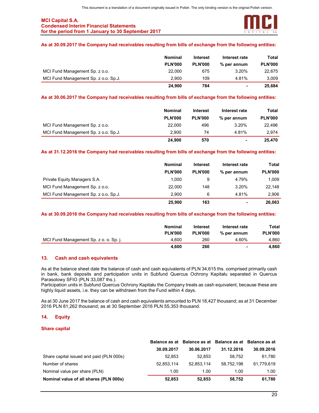

## As at 30.09.2017 the Company had receivables resulting from bills of exchange from the following entities:

|                                      | <b>Nominal</b> | <b>Interest</b> | Interest rate  | Total          |
|--------------------------------------|----------------|-----------------|----------------|----------------|
|                                      | <b>PLN'000</b> | <b>PLN'000</b>  | % per annum    | <b>PLN'000</b> |
| MCI Fund Management Sp. z o.o.       | 22,000         | 675             | 3.20%          | 22.675         |
| MCI Fund Management Sp. z o.o. Sp.J. | 2.900          | 109             | 4.81%          | 3.009          |
|                                      | 24.900         | 784             | $\blacksquare$ | 25.684         |

## As at 30.06.2017 the Company had receivables resulting from bills of exchange from the following entities:

|                                      | <b>Nominal</b> | Interest       | Interest rate  | Total          |
|--------------------------------------|----------------|----------------|----------------|----------------|
|                                      | <b>PLN'000</b> | <b>PLN'000</b> | % per annum    | <b>PLN'000</b> |
| MCI Fund Management Sp. z o.o.       | 22,000         | 496            | 3.20%          | 22,496         |
| MCI Fund Management Sp. z o.o. Sp.J. | 2.900          | 74             | 4.81%          | 2.974          |
|                                      | 24.900         | 570            | $\blacksquare$ | 25.470         |

## As at 31.12.2016 the Company had receivables resulting from bills of exchange from the following entities:

|                                      | <b>Nominal</b> | <b>Interest</b> | Interest rate  | Total          |
|--------------------------------------|----------------|-----------------|----------------|----------------|
|                                      | <b>PLN'000</b> | <b>PLN'000</b>  | % per annum    | <b>PLN'000</b> |
| Private Equity Managers S.A.         | 1.000          | 9               | 4.79%          | 1.009          |
| MCI Fund Management Sp. z o.o.       | 22,000         | 148             | 3.20%          | 22.148         |
| MCI Fund Management Sp. z o.o. Sp.J. | 2.900          | 6               | 4.81%          | 2.906          |
|                                      | 25,900         | 163             | $\blacksquare$ | 26.063         |

#### As at 30.09.2016 the Company had receivables resulting from bills of exchange from the following entities:

|                                        | <b>Nominal</b><br><b>PLN'000</b> | <b>Interest</b><br><b>PLN'000</b> | Interest rate<br>% per annum | Total<br><b>PLN'000</b> |
|----------------------------------------|----------------------------------|-----------------------------------|------------------------------|-------------------------|
| MCI Fund Management Sp. z o. o. Sp. j. | 4.600                            | 260                               | 4.60%                        | 4.860                   |
|                                        | 4.600                            | 260                               | $\blacksquare$               | 4.860                   |

## 13. Cash and cash equivalents

As at the balance sheet date the balance of cash and cash equivalents of PLN 34,615 ths. comprised primarily cash in bank, bank deposits and participation units in Subfund Quercus Ochrony Kapitału separated in Quercus Parasolowy SFIO (PLN 33,087 ths.).

Participation units in Subfund Quercus Ochrony Kapitału the Company treats as cash equivalent, because these are highly liquid assets, i.e. they can be withdrawn from the Fund within 4 days.

As at 30 June 2017 the balance of cash and cash equivalents amounted to PLN 18,427 thousand; as at 31 December 2016 PLN 81,262 thousand; as at 30 September 2016 PLN 55,353 thousand.

#### 14. Equity

#### Share capital

|                                          |            |            |            | Balance as at Balance as at Balance as at Balance as at |  |
|------------------------------------------|------------|------------|------------|---------------------------------------------------------|--|
|                                          | 30.09.2017 | 30.06.2017 | 31.12.2016 | 30.09.2016                                              |  |
| Share capital issued and paid (PLN 000s) | 52,853     | 52.853     | 58.752     | 61.780                                                  |  |
| Number of shares                         | 52.853.114 | 52.853.114 | 58.752.198 | 61,779,619                                              |  |
| Nominal value per share (PLN)            | 1.00       | 1.00       | 1.00       | 1.00                                                    |  |
| Nominal value of all shares (PLN 000s)   | 52,853     | 52.853     | 58,752     | 61,780                                                  |  |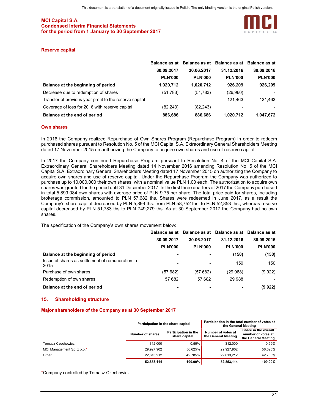

#### Reserve capital

|                                                         |                | Balance as at Balance as at Balance as at Balance as at |                |                |
|---------------------------------------------------------|----------------|---------------------------------------------------------|----------------|----------------|
|                                                         | 30.09.2017     | 30.06.2017                                              | 31.12.2016     | 30.09.2016     |
|                                                         | <b>PLN'000</b> | <b>PLN'000</b>                                          | <b>PLN'000</b> | <b>PLN'000</b> |
| Balance at the beginning of period                      | 1,020,712      | 1,020,712                                               | 926,209        | 926,209        |
| Decrease due to redemption of shares                    | (51, 783)      | (51,783)                                                | (26,960)       |                |
| Transfer of previous year profit to the reserve capital |                |                                                         | 121.463        | 121,463        |
| Coverage of loss for 2016 with reserve capital          | (82, 243)      | (82, 243)                                               |                |                |
| Balance at the end of period                            | 886,686        | 886,686                                                 | 1,020,712      | 1,047,672      |

#### Own shares

In 2016 the Company realized Repurchase of Own Shares Program (Repurchase Program) in order to redeem purchased shares pursuant to Resolution No. 5 of the MCI Capital S.A. Extraordinary General Shareholders Meeting dated 17 November 2015 on authorizing the Company to acquire own shares and use of reserve capital.

In 2017 the Company continued Repurchase Program pursuant to Resolution No. 4 of the MCI Capital S.A. Extraordinary General Shareholders Meeting dated 14 November 2016 amending Resolution No. 5 of the MCI Capital S.A. Extraordinary General Shareholders Meeting dated 17 November 2015 on authorizing the Company to acquire own shares and use of reserve capital. Under the Repurchase Program the Company was authorized to purchase up to 10,000,000 their own shares, with a nominal value PLN 1.00 each. The authorization to acquire own shares was granted for the period until 31 December 2017. In the first three quarters of 2017 the Company purchased in total 5,899,084 own shares with average price of PLN 9.75 per share. The total price paid for shares, including brokerage commission, amounted to PLN 57,682 ths. Shares were redeemed in June 2017, as a result the Company's share capital decreased by PLN 5,899 ths. from PLN 58,752 ths. to PLN 52,853 ths., whereas reserve capital decreased by PLN 51,783 ths to PLN 749,279 ths. As at 30 September 2017 the Company had no own shares.

The specification of the Company's own shares movement below:

|                                                          |                | Balance as at Balance as at Balance as at Balance as at |                |                |
|----------------------------------------------------------|----------------|---------------------------------------------------------|----------------|----------------|
|                                                          | 30.09.2017     | 30.06.2017                                              | 31.12.2016     | 30.09.2016     |
|                                                          | <b>PLN'000</b> | <b>PLN'000</b>                                          | <b>PLN'000</b> | <b>PLN'000</b> |
| Balance at the beginning of period                       |                | ۰                                                       | (150)          | (150)          |
| Issue of shares as settlement of remuneration in<br>2015 |                | -                                                       | 150            | 150            |
| Purchase of own shares                                   | (57 682)       | (57 682)                                                | (29988)        | (9922)         |
| Redemption of own shares                                 | 57 682         | 57 682                                                  | 29 988         |                |
| Balance at the end of period                             |                |                                                         |                | (9 922)        |

#### 15. Shareholding structure

#### Major shareholders of the Company as at 30 September 2017

|                            | Participation in the share capital |                                              | Participation in the total number of votes at<br>the General Meeting |                                                                   |  |
|----------------------------|------------------------------------|----------------------------------------------|----------------------------------------------------------------------|-------------------------------------------------------------------|--|
|                            | Number of shares                   | <b>Participation in the</b><br>share capital | Number of votes at<br>the General Meeting                            | Share in the overall<br>number of votes at<br>the General Meeting |  |
| Tomasz Czechowicz          | 312.000                            | 0.59%                                        | 312,000                                                              | 0.59%                                                             |  |
| MCI Management Sp. z o.o.* | 29.927.902                         | 56.625%                                      | 29.927.902                                                           | 56.625%                                                           |  |
| Other                      | 22.613.212                         | 42.785%                                      | 22.613.212                                                           | 42.785%                                                           |  |
|                            | 52,853,114                         | 100.00%                                      | 52,853,114                                                           | 100.00%                                                           |  |

\*Company controlled by Tomasz Czechowicz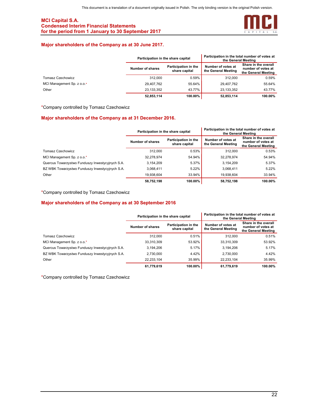

## Major shareholders of the Company as at 30 June 2017.

|                            | Participation in the share capital |                                       | Participation in the total number of votes at<br>the General Meeting |                                                                   |  |
|----------------------------|------------------------------------|---------------------------------------|----------------------------------------------------------------------|-------------------------------------------------------------------|--|
|                            | Number of shares                   | Participation in the<br>share capital | Number of votes at<br>the General Meeting                            | Share in the overall<br>number of votes at<br>the General Meeting |  |
| Tomasz Czechowicz          | 312,000                            | 0.59%                                 | 312.000                                                              | 0.59%                                                             |  |
| MCI Management Sp. z o.o.* | 29.407.762                         | 55.64%                                | 29.407.762                                                           | 55.64%                                                            |  |
| Other                      | 23.133.352                         | 43.77%                                | 23.133.352                                                           | 43.77%                                                            |  |
|                            | 52.853.114                         | 100.00%                               | 52.853.114                                                           | 100.00%                                                           |  |

\*Company controlled by Tomasz Czechowicz

#### Major shareholders of the Company as at 31 December 2016.

|                                                  | Participation in the share capital |                                       | Participation in the total number of votes at<br>the General Meeting |                                                                   |  |
|--------------------------------------------------|------------------------------------|---------------------------------------|----------------------------------------------------------------------|-------------------------------------------------------------------|--|
|                                                  | Number of shares                   | Participation in the<br>share capital | Number of votes at<br>the General Meeting                            | Share in the overall<br>number of votes at<br>the General Meeting |  |
| Tomasz Czechowicz                                | 312.000                            | 0.53%                                 | 312.000                                                              | 0.53%                                                             |  |
| MCI Management Sp. z o.o.*                       | 32,278,974                         | 54.94%                                | 32,278,974                                                           | 54.94%                                                            |  |
| Quercus Towarzystwo Funduszy Inwestycyjnych S.A. | 3,154,209                          | 5.37%                                 | 3,154,209                                                            | 5.37%                                                             |  |
| BZ WBK Towarzystwo Funduszy Inwestycyjnych S.A.  | 3,068,411                          | 5.22%                                 | 3,068,411                                                            | 5.22%                                                             |  |
| Other                                            | 19,938,604                         | 33.94%                                | 19.938.604                                                           | 33.94%                                                            |  |
|                                                  | 58.752.198                         | 100.00%                               | 58.752.198                                                           | 100.00%                                                           |  |

\*Company controlled by Tomasz Czechowicz

## Major shareholders of the Company as at 30 September 2016

|                                                  | Participation in the share capital |                                       | Participation in the total number of votes at<br>the General Meeting |                                                                   |  |
|--------------------------------------------------|------------------------------------|---------------------------------------|----------------------------------------------------------------------|-------------------------------------------------------------------|--|
|                                                  | Number of shares                   | Participation in the<br>share capital | Number of votes at<br>the General Meeting                            | Share in the overall<br>number of votes at<br>the General Meeting |  |
| Tomasz Czechowicz                                | 312.000                            | 0.51%                                 | 312.000                                                              | 0.51%                                                             |  |
| MCI Management Sp. z o.o.*                       | 33,310,309                         | 53.92%                                | 33.310.309                                                           | 53.92%                                                            |  |
| Quercus Towarzystwo Funduszy Inwestycyjnych S.A. | 3.194.206                          | 5.17%                                 | 3.194.206                                                            | 5.17%                                                             |  |
| BZ WBK Towarzystwo Funduszy Inwestycyjnych S.A.  | 2,730,000                          | 4.42%                                 | 2.730.000                                                            | 4.42%                                                             |  |
| Other                                            | 22.233.104                         | 35.99%                                | 22.233.104                                                           | 35.99%                                                            |  |
|                                                  | 61.779.619                         | 100.00%                               | 61.779.619                                                           | 100.00%                                                           |  |

\*Company controlled by Tomasz Czechowicz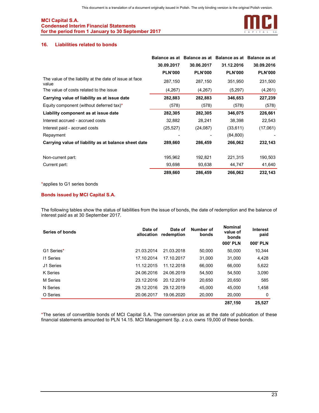

## 16. Liabilities related to bonds

|                                                                  |                | Balance as at Balance as at Balance as at Balance as at |                |                |
|------------------------------------------------------------------|----------------|---------------------------------------------------------|----------------|----------------|
|                                                                  | 30.09.2017     | 30.06.2017                                              | 31.12.2016     | 30.09.2016     |
|                                                                  | <b>PLN'000</b> | <b>PLN'000</b>                                          | <b>PLN'000</b> | <b>PLN'000</b> |
| The value of the liability at the date of issue at face<br>value | 287,150        | 287,150                                                 | 351,950        | 231,500        |
| The value of costs related to the issue                          | (4,267)        | (4,267)                                                 | (5,297)        | (4,261)        |
| Carrying value of liability as at issue date                     | 282,883        | 282,883                                                 | 346,653        | 227,239        |
| Equity component (without deferred tax)*                         | (578)          | (578)                                                   | (578)          | (578)          |
| Liability component as at issue date                             | 282,305        | 282,305                                                 | 346,075        | 226,661        |
| Interest accrued - accrued costs                                 | 32,882         | 28,241                                                  | 38,398         | 22,543         |
| Interest paid - accrued costs                                    | (25, 527)      | (24, 087)                                               | (33, 611)      | (17,061)       |
| Repayment                                                        |                |                                                         | (84, 800)      |                |
| Carrying value of liability as at balance sheet date             | 289,660        | 286,459                                                 | 266,062        | 232,143        |
| Non-current part:                                                | 195,962        | 192,821                                                 | 221,315        | 190,503        |
| Current part:                                                    | 93,698         | 93,638                                                  | 44,747         | 41,640         |
|                                                                  | 289,660        | 286,459                                                 | 266,062        | 232,143        |

\*applies to G1 series bonds

## Bonds issued by MCI Capital S.A.

The following tables show the status of liabilities from the issue of bonds, the date of redemption and the balance of interest paid as at 30 September 2017.

| Series of bonds | Date of<br>allocation | Date of<br>redemption | Number of<br>bonds | <b>Nominal</b><br>value of<br>bonds | <b>Interest</b><br>paid |
|-----------------|-----------------------|-----------------------|--------------------|-------------------------------------|-------------------------|
|                 |                       |                       |                    | <b>000' PLN</b>                     | <b>000' PLN</b>         |
| G1 Series*      | 21.03.2014            | 21.03.2018            | 50,000             | 50,000                              | 10,344                  |
| 11 Series       | 17.10.2014            | 17.10.2017            | 31,000             | 31,000                              | 4,428                   |
| J1 Series       | 11.12.2015            | 11.12.2018            | 66.000             | 66,000                              | 5,622                   |
| K Series        | 24.06.2016            | 24.06.2019            | 54.500             | 54.500                              | 3,090                   |
| M Series        | 23.12.2016            | 20.12.2019            | 20,650             | 20,650                              | 585                     |
| N Series        | 29.12.2016            | 29.12.2019            | 45.000             | 45.000                              | 1,458                   |
| O Series        | 20.06.2017            | 19.06.2020            | 20,000             | 20,000                              | 0                       |
|                 |                       |                       |                    | 287.150                             | 25.527                  |

\*The series of convertible bonds of MCI Capital S.A. The conversion price as at the date of publication of these financial statements amounted to PLN 14.15. MCI Management Sp. z o.o. owns 19,000 of these bonds.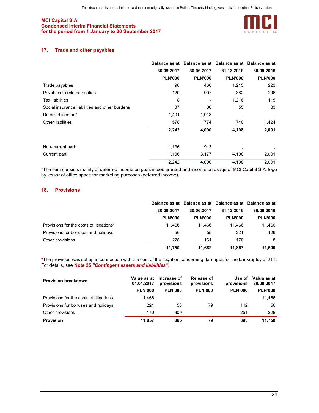

## 17. Trade and other payables

|                                                |                |                | Balance as at Balance as at Balance as at Balance as at |                |
|------------------------------------------------|----------------|----------------|---------------------------------------------------------|----------------|
|                                                | 30.09.2017     | 30.06.2017     | 31.12.2016                                              | 30.09.2016     |
|                                                | <b>PLN'000</b> | <b>PLN'000</b> | <b>PLN'000</b>                                          | <b>PLN'000</b> |
| Trade payables                                 | 98             | 460            | 1,215                                                   | 223            |
| Payables to related entities                   | 120            | 907            | 882                                                     | 296            |
| <b>Tax liabilities</b>                         | 8              |                | 1,216                                                   | 115            |
| Social insurance liabilities and other burdens | 37             | 36             | 55                                                      | 33             |
| Deferred income*                               | 1,401          | 1,913          |                                                         |                |
| Other liabilities                              | 578            | 774            | 740                                                     | 1,424          |
|                                                | 2,242          | 4,090          | 4,108                                                   | 2,091          |
| Non-current part:                              | 1,136          | 913            |                                                         |                |
| Current part:                                  | 1,106          | 3,177          | 4,108                                                   | 2,091          |
|                                                | 2,242          | 4,090          | 4,108                                                   | 2,091          |

\*The item consists mainly of deferred income on guarantees granted and income on usage of MCI Capital S.A. logo by lessor of office space for marketing purposes (deferred income).

#### 18. Provisions

|                                          |                |                | Balance as at Balance as at Balance as at Balance as at |                |  |
|------------------------------------------|----------------|----------------|---------------------------------------------------------|----------------|--|
|                                          | 30.09.2017     | 30.06.2017     | 31.12.2016                                              | 30.09.2016     |  |
|                                          | <b>PLN'000</b> | <b>PLN'000</b> | <b>PLN'000</b>                                          | <b>PLN'000</b> |  |
| Provisions for the costs of litigations* | 11.466         | 11.466         | 11.466                                                  | 11.466         |  |
| Provisions for bonuses and holidays      | 56             | 55             | 221                                                     | 126            |  |
| Other provisions                         | 228            | 161            | 170                                                     | 8              |  |
|                                          | 11.750         | 11.682         | 11.857                                                  | 11.600         |  |

\*The provision was set up in connection with the cost of the litigation concerning damages for the bankruptcy of JTT. For details, see Note 25 "Contingent assets and liabilities".

| <b>Provision breakdown</b>              | Value as at<br>01.01.2017 | Increase of<br>provisions | Release of<br>provisions | Use of<br>provisions | Valua as at<br>30.09.2017 |
|-----------------------------------------|---------------------------|---------------------------|--------------------------|----------------------|---------------------------|
|                                         | <b>PLN'000</b>            | <b>PLN'000</b>            | <b>PLN'000</b>           | <b>PLN'000</b>       | <b>PLN'000</b>            |
| Provisions for the costs of litigations | 11.466                    | ۰                         | ۰                        | ۰                    | 11.466                    |
| Provisions for bonuses and holidays     | 221                       | 56                        | 79                       | 142                  | 56                        |
| Other provisions                        | 170                       | 309                       | $\overline{\phantom{0}}$ | 251                  | 228                       |
| <b>Provision</b>                        | 11.857                    | 365                       | 79                       | 393                  | 11.750                    |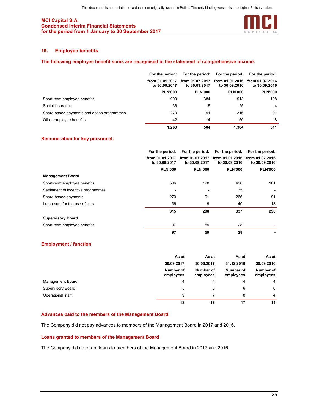

## 19. Employee benefits

#### The following employee benefit sums are recognised in the statement of comprehensive income:

|                                            | For the period:                  |                                  | For the period: For the period:  | For the period:                  |  |
|--------------------------------------------|----------------------------------|----------------------------------|----------------------------------|----------------------------------|--|
|                                            | from 01.01.2017<br>to 30.09.2017 | from 01.07.2017<br>to 30,09,2017 | from 01.01.2016<br>to 30,09,2016 | from 01.07.2016<br>to 30,09,2016 |  |
|                                            | <b>PLN'000</b>                   | <b>PLN'000</b>                   | <b>PLN'000</b>                   | <b>PLN'000</b>                   |  |
| Short-term employee benefits               | 909                              | 384                              | 913                              | 198                              |  |
| Social insurance                           | 36                               | 15                               | 25                               | $\overline{4}$                   |  |
| Share-based payments and option programmes | 273                              | 91                               | 316                              | 91                               |  |
| Other employee benefits                    | 42                               | 14                               | 50                               | 18                               |  |
|                                            | 1.260                            | 504                              | 1.304                            | 311                              |  |

#### Remuneration for key personnel:

|                                    | For the period:                  | For the period:                  | For the period:                  | For the period:                  |
|------------------------------------|----------------------------------|----------------------------------|----------------------------------|----------------------------------|
|                                    | from 01.01.2017<br>to 30.09.2017 | from 01.07.2017<br>to 30.09.2017 | from 01.01.2016<br>to 30.09.2016 | from 01.07.2016<br>to 30,09,2016 |
|                                    | <b>PLN'000</b>                   | <b>PLN'000</b>                   | <b>PLN'000</b>                   | <b>PLN'000</b>                   |
| <b>Management Board</b>            |                                  |                                  |                                  |                                  |
| Short-term employee benefits       | 506                              | 198                              | 496                              | 181                              |
| Settlement of incentive programmes |                                  |                                  | 35                               |                                  |
| Share-based payments               | 273                              | 91                               | 266                              | 91                               |
| Lump-sum for the use of cars       | 36                               | 9                                | 40                               | 18                               |
|                                    | 815                              | 298                              | 837                              | 290                              |
| <b>Supervisory Board</b>           |                                  |                                  |                                  |                                  |
| Short-term employee benefits       | 97                               | 59                               | 28                               |                                  |
|                                    | 97                               | 59                               | 28                               |                                  |

## Employment / function

|                         | As at                  | As at                  | As at                  | As at                  |
|-------------------------|------------------------|------------------------|------------------------|------------------------|
|                         | 30.09.2017             | 30.06.2017             | 31.12.2016             | 30.09.2016             |
|                         | Number of<br>employees | Number of<br>employees | Number of<br>employees | Number of<br>employees |
| <b>Management Board</b> | 4                      | 4                      | 4                      | 4                      |
| Supervisory Board       | 5                      | 5                      | 6                      | 6                      |
| Operational staff       | 9                      |                        | 8                      | $\overline{4}$         |
|                         | 18                     | 16                     | 17                     | 14                     |

## Advances paid to the members of the Management Board

The Company did not pay advances to members of the Management Board in 2017 and 2016.

#### Loans granted to members of the Management Board

The Company did not grant loans to members of the Management Board in 2017 and 2016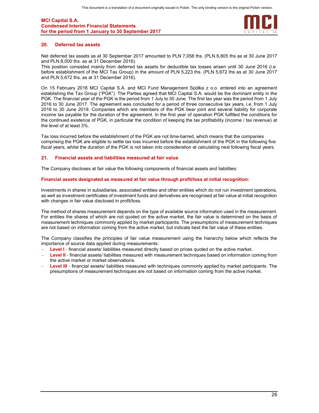

#### 20. Deferred tax assets

Net deferred tax assets as at 30 September 2017 amounted to PLN 7,058 ths. (PLN 6,805 ths as at 30 June 2017 and PLN 8,000 ths. as at 31 December 2016).

This position consisted mainly from deferred tax assets for deductible tax losses arisen until 30 June 2016 (i.e. before establishment of the MCI Tax Group) in the amount of PLN 5,223 ths. (PLN 5,672 ths as at 30 June 2017 and PLN 5,672 ths. as at 31 December 2016).

On 15 February 2016 MCI Capital S.A. and MCI Fund Management Spółka z o.o. entered into an agreement establishing the Tax Group ("PGK"). The Parties agreed that MCI Capital S.A. would be the dominant entity in the PGK. The financial year of the PGK is the period from 1 July to 30 June. The first tax year was the period from 1 July 2016 to 30 June 2017. The agreement was concluded for a period of three consecutive tax years, i.e. from 1 July 2016 to 30 June 2019. Companies which are members of the PGK bear joint and several liability for corporate income tax payable for the duration of the agreement. In the first year of operation PGK fulfilled the conditions for the continued existence of PGK, in particular the condition of keeping the tax profitability (income / tax revenue) at the level of at least 3%.

Tax loss incurred before the establishment of the PGK are not time-barred, which means that the companies comprising the PGK are eligible to settle tax loss incurred before the establishment of the PGK in the following five fiscal years, whilst the duration of the PGK is not taken into consideration at calculating next following fiscal years.

#### 21. Financial assets and liabilities measured at fair value

The Company discloses at fair value the following components of financial assets and liabilities:

#### Financial assets designated as measured at fair value through profit/loss at initial recognition:

Investments in shares in subsidiaries, associated entities and other entities which do not run investment operations, as well as investment certificates of investment funds and derivatives are recognised at fair value at initial recognition with changes in fair value disclosed in profit/loss.

The method of shares measurement depends on the type of available source information used in the measurement. For entities the shares of which are not quoted on the active market, the fair value is determined on the basis of measurement techniques commonly applied by market participants. The presumptions of measurement techniques are not based on information coming from the active market, but indicate best the fair value of these entities.

The Company classifies the principles of fair value measurement using the hierarchy below which reflects the importance of source data applied during measurements:

- Level I financial assets/ liabilities measured directly based on prices quoted on the active market.
- Level II financial assets/ liabilities measured with measurement techniques based on information coming from the active market or market observations.
- Level III financial assets/ liabilities measured with techniques commonly applied by market participants. The presumptions of measurement techniques are not based on information coming from the active market.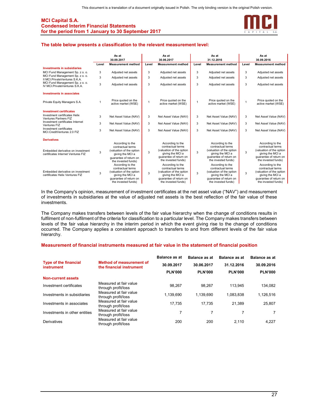

#### The table below presents a classification to the relevant measurement level:

|                                                                           |       | As at                                                                                                                                  | As at |                                                                                                                                        | As at        |                                                                                                                                        |       | As at                                                                                                                                  |
|---------------------------------------------------------------------------|-------|----------------------------------------------------------------------------------------------------------------------------------------|-------|----------------------------------------------------------------------------------------------------------------------------------------|--------------|----------------------------------------------------------------------------------------------------------------------------------------|-------|----------------------------------------------------------------------------------------------------------------------------------------|
|                                                                           |       | 30.09.2017                                                                                                                             |       | 30.06.2017                                                                                                                             |              | 31.12.2016                                                                                                                             |       | 30.09.2016                                                                                                                             |
|                                                                           | Level | <b>Measurement method</b>                                                                                                              | Level | <b>Measurement method</b>                                                                                                              | Level        | <b>Measurement method</b>                                                                                                              | Level | <b>Measurement method</b>                                                                                                              |
| <b>Investments in subsidiaries</b>                                        |       |                                                                                                                                        |       |                                                                                                                                        |              |                                                                                                                                        |       |                                                                                                                                        |
| MCI Fund Management Sp. z o. o.                                           | 3     | Adjusted net assets                                                                                                                    | 3     | Adjusted net assets                                                                                                                    | 3            | Adjusted net assets                                                                                                                    | 3     | Adjusted net assets                                                                                                                    |
| MCI Fund Management Sp. z o. o.<br>II MCI.PrivateVentures S.K.A.          | 3     | Adiusted net assets                                                                                                                    | 3     | Adjusted net assets                                                                                                                    | 3            | Adjusted net assets                                                                                                                    | 3     | Adjusted net assets                                                                                                                    |
| MCI Fund Management Sp. z o. o.<br>IV MCLPrivateVentures S.K.A.           | 3     | Adjusted net assets                                                                                                                    | 3     | Adjusted net assets                                                                                                                    | 3            | Adjusted net assets                                                                                                                    | 3     | Adjusted net assets                                                                                                                    |
| <b>Investments in associates</b>                                          |       |                                                                                                                                        |       |                                                                                                                                        |              |                                                                                                                                        |       |                                                                                                                                        |
| Private Equity Managers S.A.                                              | 1     | Price quoted on the<br>active market (WSE)                                                                                             | 1     | Price quoted on the<br>active market (WSE)                                                                                             | $\mathbf{1}$ | Price quoted on the<br>active market (WSE)                                                                                             | 1     | Price quoted on the<br>active market (WSE)                                                                                             |
| <b>Investment certificates</b><br>Investment certificates Helix           | 3     | Net Asset Value (NAV)                                                                                                                  | 3     | Net Asset Value (NAV)                                                                                                                  | 3            | Net Asset Value (NAV)                                                                                                                  | 3     | Net Asset Value (NAV)                                                                                                                  |
| Ventures Partners FIZ<br>Investment certificates Internet<br>Ventures FIZ | 3     | Net Asset Value (NAV)                                                                                                                  | 3     | Net Asset Value (NAV)                                                                                                                  | 3            | Net Asset Value (NAV)                                                                                                                  | 3     | Net Asset Value (NAV)                                                                                                                  |
| Investment certificates<br>MCI.CreditVentures 2.0 FIZ                     | 3     | Net Asset Value (NAV)                                                                                                                  | 3     | Net Asset Value (NAV)                                                                                                                  | 3            | Net Asset Value (NAV)                                                                                                                  | 3     | Net Asset Value (NAV)                                                                                                                  |
| <b>Derivatives</b>                                                        |       |                                                                                                                                        |       |                                                                                                                                        |              |                                                                                                                                        |       |                                                                                                                                        |
| Embedded derivative on investment<br>certificates Internet Ventures FIZ   | 3     | According to the<br>contractual terms<br>(valuation of the option<br>giving the MCI a<br>quarantee of return on<br>the invested funds) | 3     | According to the<br>contractual terms<br>(valuation of the option<br>giving the MCI a<br>quarantee of return on<br>the invested funds) | 3            | According to the<br>contractual terms<br>(valuation of the option<br>giving the MCI a<br>quarantee of return on<br>the invested funds) | 3     | According to the<br>contractual terms<br>(valuation of the option<br>giving the MCI a<br>guarantee of return on<br>the invested funds) |
| Embedded derivative on investment<br>certificates Helix Ventures FIZ      | 3     | According to the<br>contractual terms<br>(valuation of the option<br>giving the MCI a<br>quarantee of return on<br>the invested funds) | 3     | According to the<br>contractual terms<br>(valuation of the option<br>giving the MCI a<br>guarantee of return on<br>the invested funds) | 3            | According to the<br>contractual terms<br>(valuation of the option<br>giving the MCI a<br>quarantee of return on<br>the invested funds) | 3     | According to the<br>contractual terms<br>(valuation of the option<br>giving the MCI a<br>guarantee of return on<br>the invested funds) |

In the Company's opinion, measurement of investment certificates at the net asset value ("NAV") and measurement of investments in subsidiaries at the value of adjusted net assets is the best reflection of the fair value of these investments.

The Company makes transfers between levels of the fair value hierarchy when the change of conditions results in fulfilment of non-fulfilment of the criteria for classification to a particular level. The Company makes transfers between levels of the fair value hierarchy in the interim period in which the event giving rise to the change of conditions occurred. The Company applies a consistent approach to transfers to and from different levels of the fair value hierarchy.

#### Measurement of financial instruments measured at fair value in the statement of financial position

|                                                   |                                                      | <b>Balance as at</b> | Balance as at  | <b>Balance as at</b> | <b>Balance as at</b> |
|---------------------------------------------------|------------------------------------------------------|----------------------|----------------|----------------------|----------------------|
| <b>Type of the financial</b><br><i>instrument</i> | Method of measurement of<br>the financial instrument | 30.09.2017           | 30.06.2017     | 31.12.2016           | 30.09.2016           |
|                                                   |                                                      | <b>PLN'000</b>       | <b>PLN'000</b> | <b>PLN'000</b>       | <b>PLN'000</b>       |
| <b>Non-current assets</b>                         |                                                      |                      |                |                      |                      |
| Investment certificates                           | Measured at fair value<br>through profit/loss        | 98.267               | 98.267         | 113.945              | 134.082              |
| Investments in subsidiaries                       | Measured at fair value<br>through profit/loss        | 1,139,690            | 1.139.690      | 1.083.838            | 1,126,516            |
| Investments in associates                         | Measured at fair value<br>through profit/loss        | 17.735               | 17.735         | 21.389               | 25,807               |
| Investments in other entities                     | Measured at fair value<br>through profit/loss        | 7                    |                | 7                    | 7                    |
| Derivatives                                       | Measured at fair value<br>through profit/loss        | 200                  | 200            | 2.110                | 4.227                |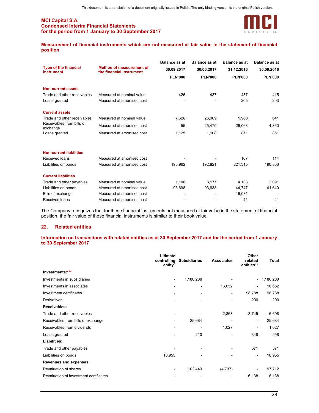

Measurement of financial instruments which are not measured at fair value in the statement of financial position

|                                                        |                                                             | <b>Balance as at</b> | <b>Balance as at</b> | <b>Balance as at</b> | <b>Balance as at</b> |
|--------------------------------------------------------|-------------------------------------------------------------|----------------------|----------------------|----------------------|----------------------|
| <b>Type of the financial</b><br><b>instrument</b>      | <b>Method of measurement of</b><br>the financial instrument | 30.09.2017           | 30.06.2017           | 31.12.2016           | 30.09.2016           |
|                                                        |                                                             | <b>PLN'000</b>       | <b>PLN'000</b>       | <b>PLN'000</b>       | <b>PLN'000</b>       |
| <b>Non-current assets</b>                              |                                                             |                      |                      |                      |                      |
| Trade and other receivables                            | Measured at nominal value                                   | 426                  | 437                  | 437                  | 415                  |
| Loans granted                                          | Measured at amortised cost                                  |                      |                      | 205                  | 203                  |
| <b>Current assets</b>                                  |                                                             |                      |                      |                      |                      |
| Trade and other receivables                            | Measured at nominal value                                   | 7,626                | 26,009               | 1,960                | 641                  |
| Receivables from bills of<br>exchange<br>Loans granted | Measured at amortised cost                                  | 55                   | 25,470               | 26,063               | 4,860                |
|                                                        | Measured at amortised cost                                  | 1,125                | 1,108                | 871                  | 861                  |
| <b>Non-current liabilities</b>                         |                                                             |                      |                      |                      |                      |
| Received loans                                         | Measured at amortised cost                                  |                      |                      | 107                  | 114                  |
| Liabilities on bonds                                   | Measured at amortised cost                                  | 195,962              | 192,821              | 221,315              | 190,503              |
| <b>Current liabilities</b>                             |                                                             |                      |                      |                      |                      |
| Trade and other payables                               | Measured at nominal value                                   | 1,106                | 3,177                | 4,108                | 2,091                |
| Liabilities on bonds                                   | Measured at amortised cost                                  | 93,698               | 93,638               | 44,747               | 41,640               |
| Bills of exchange                                      | Measured at amortised cost                                  |                      |                      | 16,031               |                      |
| Received loans                                         | Measured at amortised cost                                  |                      |                      | 41                   | 41                   |

The Company recognizes that for these financial instruments not measured at fair value in the statement of financial position, the fair value of these financial instruments is similar to their book value.

## 22. Related entities

#### Information on transactions with related entities as at 30 September 2017 and for the period from 1 January to 30 September 2017

|                                        | <b>Ultimate</b><br>controlling<br>entity* | <b>Subsidiaries</b> | <b>Associates</b>        | Other<br>related<br>entities** | <b>Total</b> |
|----------------------------------------|-------------------------------------------|---------------------|--------------------------|--------------------------------|--------------|
| Investments:***                        |                                           |                     |                          |                                |              |
| Investments in subsidiaries            |                                           | 1,186,288           |                          | $\blacksquare$                 | 1,186,288    |
| Investments in associates              |                                           |                     | 16,652                   |                                | 16,652       |
| Investment certificates                |                                           |                     |                          | 98,788                         | 98,788       |
| <b>Derivatives</b>                     |                                           |                     |                          | 200                            | 200          |
| <b>Receivables:</b>                    |                                           |                     |                          |                                |              |
| Trade and other receivables            |                                           |                     | 2,863                    | 3,745                          | 6,608        |
| Receivables from bills of exchange     |                                           | 25,684              | $\overline{\phantom{0}}$ | ٠                              | 25,684       |
| Receivables from dividends             |                                           |                     | 1,027                    | $\qquad \qquad \blacksquare$   | 1,027        |
| Loans granted                          |                                           | 210                 |                          | 348                            | 558          |
| Liabilities:                           |                                           |                     |                          |                                |              |
| Trade and other payables               |                                           |                     |                          | 571                            | 571          |
| Liabilities on bonds                   | 18,955                                    |                     |                          | $\qquad \qquad \blacksquare$   | 18,955       |
| <b>Revenues and expenses:</b>          |                                           |                     |                          |                                |              |
| Revaluation of shares                  |                                           | 102,449             | (4,737)                  |                                | 97,712       |
| Revaluation of investment certificates |                                           |                     |                          | 6,138                          | 6,138        |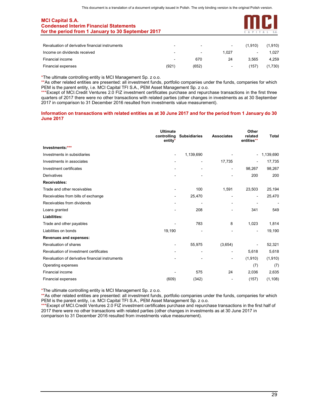

| Revaluation of derivative financial instruments | ۰                        | $\sim$         | $\sim$         | (1.910) | (1,910) |
|-------------------------------------------------|--------------------------|----------------|----------------|---------|---------|
| Income on dividends received                    | $\overline{\phantom{0}}$ | $\blacksquare$ | 1.027          | ۰.      | 1.027   |
| Financial income                                | $\sim$                   | 670            | 24             | 3.565   | 4.259   |
| Financial expenses                              | (921)                    | (652)          | $\blacksquare$ | (157)   | (1,730) |

\*The ultimate controlling entity is MCI Management Sp. z o.o.

\*\*As other related entities are presented: all investment funds, portfolio companies under the funds, companies for which PEM is the parent entity, i.e. MCI Capital TFI S.A., PEM Asset Management Sp. z o.o.

\*\*\*Except of MCI.Credit Ventures 2.0 FIZ investment certificates purchase and repurchase transactions in the first three quarters of 2017 there were no other transactions with related parties (other changes in investments as at 30 September 2017 in comparison to 31 December 2016 resulted from investments value measurement).

#### Information on transactions with related entities as at 30 June 2017 and for the period from 1 January do 30 June 2017

|                                                 | <b>Ultimate</b><br>controlling<br>entity* | <b>Subsidiaries</b>          | <b>Associates</b> | Other<br>related<br>entities** | <b>Total</b>   |
|-------------------------------------------------|-------------------------------------------|------------------------------|-------------------|--------------------------------|----------------|
| Investments:***                                 |                                           |                              |                   |                                |                |
| Investments in subsidiaries                     | $\blacksquare$                            | 1,139,690                    |                   | $\overline{\phantom{a}}$       | 1,139,690      |
| Investments in associates                       |                                           | $\qquad \qquad \blacksquare$ | 17,735            | ٠                              | 17,735         |
| Investment certificates                         |                                           | ۰                            |                   | 98.267                         | 98,267         |
| Derivatives                                     |                                           |                              |                   | 200                            | 200            |
| <b>Receivables:</b>                             |                                           |                              |                   |                                |                |
| Trade and other receivables                     |                                           | 100                          | 1,591             | 23,503                         | 25,194         |
| Receivables from bills of exchange              |                                           | 25,470                       |                   | $\overline{\phantom{a}}$       | 25,470         |
| Receivables from dividends                      |                                           | $\blacksquare$               |                   |                                | $\overline{a}$ |
| Loans granted                                   |                                           | 208                          |                   | 341                            | 549            |
| Liabilities:                                    |                                           |                              |                   |                                |                |
| Trade and other payables                        |                                           | 783                          | 8                 | 1,023                          | 1,814          |
| Liabilities on bonds                            | 19,190                                    |                              |                   |                                | 19,190         |
| Revenues and expenses:                          |                                           |                              |                   |                                |                |
| Revaluation of shares                           |                                           | 55,975                       | (3,654)           |                                | 52,321         |
| Revaluation of investment certificates          |                                           | ۰                            |                   | 5,618                          | 5,618          |
| Revaluation of derivative financial instruments |                                           |                              | $\blacksquare$    | (1,910)                        | (1, 910)       |
| Operating expenses                              |                                           |                              |                   | (7)                            | (7)            |
| <b>Financial income</b>                         |                                           | 575                          | 24                | 2,036                          | 2,635          |
| Financial expenses                              | (609)                                     | (342)                        |                   | (157)                          | (1, 108)       |

\*The ultimate controlling entity is MCI Management Sp. z o.o.

\*\*As other related entities are presented: all investment funds, portfolio companies under the funds, companies for which PEM is the parent entity, i.e. MCI Capital TFI S.A., PEM Asset Management Sp. z o.o.

\*\*\*Except of MCI.Credit Ventures 2.0 FIZ investment certificates purchase and repurchase transactions in the first half of 2017 there were no other transactions with related parties (other changes in investments as at 30 June 2017 in comparison to 31 December 2016 resulted from investments value measurement).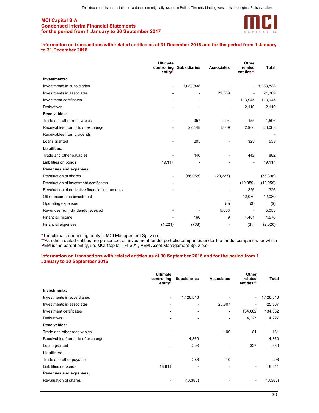

#### Information on transactions with related entities as at 31 December 2016 and for the period from 1 January to 31 December 2016

|                                                 | <b>Ultimate</b><br>controlling<br>entity* | <b>Subsidiaries</b> | <b>Associates</b>            | Other<br>related<br>entities** | <b>Total</b> |
|-------------------------------------------------|-------------------------------------------|---------------------|------------------------------|--------------------------------|--------------|
| Investments:                                    |                                           |                     |                              |                                |              |
| Investments in subsidiaries                     |                                           | 1,083,838           |                              | $\blacksquare$                 | 1,083,838    |
| Investments in associates                       |                                           |                     | 21,389                       |                                | 21,389       |
| Investment certificates                         |                                           |                     | $\qquad \qquad \blacksquare$ | 113,945                        | 113,945      |
| <b>Derivatives</b>                              |                                           |                     | -                            | 2,110                          | 2,110        |
| Receivables:                                    |                                           |                     |                              |                                |              |
| Trade and other receivables                     |                                           | 357                 | 994                          | 155                            | 1,506        |
| Receivables from bills of exchange              |                                           | 22,148              | 1,009                        | 2,906                          | 26,063       |
| Receivables from dividends                      |                                           |                     |                              |                                |              |
| Loans granted                                   |                                           | 205                 |                              | 328                            | 533          |
| Liabilities:                                    |                                           |                     |                              |                                |              |
| Trade and other payables                        |                                           | 440                 |                              | 442                            | 882          |
| Liabilities on bonds                            | 19,117                                    |                     |                              |                                | 19,117       |
| Revenues and expenses:                          |                                           |                     |                              |                                |              |
| Revaluation of shares                           |                                           | (56,058)            | (20, 337)                    | $\qquad \qquad \blacksquare$   | (76, 395)    |
| Revaluation of investment certificates          |                                           |                     | $\overline{\phantom{a}}$     | (10, 959)                      | (10, 959)    |
| Revaluation of derivative financial instruments |                                           |                     |                              | 326                            | 326          |
| Other income on investment                      |                                           |                     |                              | 12,080                         | 12,080       |
| Operating expenses                              |                                           |                     | (6)                          | (3)                            | (9)          |
| Revenues from dividends received                |                                           |                     | 5,053                        | $\overline{\phantom{a}}$       | 5,053        |
| <b>Financial income</b>                         |                                           | 166                 | 9                            | 4.401                          | 4,576        |
| <b>Financial expenses</b>                       | (1,221)                                   | (768)               | ۰                            | (31)                           | (2,020)      |

\*The ultimate controlling entity is MCI Management Sp. z o.o.

\*\*As other related entities are presented: all investment funds, portfolio companies under the funds, companies for which PEM is the parent entity, i.e. MCI Capital TFI S.A., PEM Asset Management Sp. z o.o.

#### Information on transactions with related entities as at 30 September 2016 and for the period from 1 January to 30 September 2016

|                                    | <b>Ultimate</b><br>controlling<br>entity* | <b>Subsidiaries</b> | <b>Associates</b>            | Other<br>related<br>entities** | Total     |
|------------------------------------|-------------------------------------------|---------------------|------------------------------|--------------------------------|-----------|
| Investments:                       |                                           |                     |                              |                                |           |
| Investments in subsidiaries        | $\sim$                                    | 1,126,516           |                              | $\frac{1}{2}$                  | 1,126,516 |
| Investments in associates          | $\overline{\phantom{a}}$                  | $\overline{ }$      | 25,807                       | ۰                              | 25,807    |
| Investment certificates            | $\overline{\phantom{a}}$                  |                     | ۰                            | 134,082                        | 134,082   |
| <b>Derivatives</b>                 | $\blacksquare$                            | ۰                   | $\overline{\phantom{0}}$     | 4,227                          | 4,227     |
| Receivables:                       |                                           |                     |                              |                                |           |
| Trade and other receivables        | $\blacksquare$                            |                     | 100                          | 81                             | 181       |
| Receivables from bills of exchange | $\blacksquare$                            | 4,860               | ۰                            |                                | 4,860     |
| Loans granted                      | $\qquad \qquad \blacksquare$              | 203                 | $\qquad \qquad \blacksquare$ | 327                            | 530       |
| Liabilities:                       |                                           |                     |                              |                                |           |
| Trade and other payables           | ٠                                         | 286                 | 10                           | ۰                              | 296       |
| Liabilities on bonds               | 18,811                                    |                     |                              | ۰                              | 18,811    |
| Revenues and expenses:             |                                           |                     |                              |                                |           |
| Revaluation of shares              | $\blacksquare$                            | (13, 380)           |                              | $\overline{ }$                 | (13, 380) |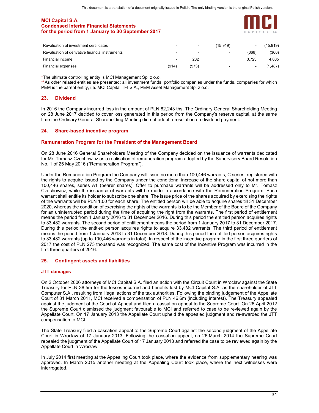

| Revaluation of investment certificates          | $\blacksquare$ | $\sim$ | (15.919)       | $\blacksquare$ | (15,919) |
|-------------------------------------------------|----------------|--------|----------------|----------------|----------|
| Revaluation of derivative financial instruments | $\blacksquare$ | $\sim$ | $\blacksquare$ | (366)          | (366)    |
| Financial income                                | $\sim$         | 282    |                | 3.723          | 4.005    |
| Financial expenses                              | (914)          | (573)  | $\blacksquare$ | $\sim$         | (1, 487) |

\*The ultimate controlling entity is MCI Management Sp. z o.o.

\*\*As other related entities are presented: all investment funds, portfolio companies under the funds, companies for which PEM is the parent entity, i.e. MCI Capital TFI S.A., PEM Asset Management Sp. z o.o.

## 23. Dividend

In 2016 the Company incurred loss in the amount of PLN 82,243 ths. The Ordinary General Shareholding Meeting on 28 June 2017 decided to cover loss generated in this period from the Company's reserve capital, at the same time the Ordinary General Shareholding Meeting did not adopt a resolution on dividend payment.

## 24. Share-based incentive program

## Remuneration Program for the President of the Management Board

On 28 June 2016 General Shareholders Meeting of the Company decided on the issuance of warrants dedicated for Mr. Tomasz Czechowicz as a realisation of remuneration program adopted by the Supervisory Board Resolution No. 1 of 25 May 2016 ("Remuneration Program").

Under the Remuneration Program the Company will issue no more than 100,446 warrants, C series, registered with the rights to acquire issued by the Company under the conditional increase of the share capital of not more than 100,446 shares, series A1 (bearer shares). Offer to purchase warrants will be addressed only to Mr. Tomasz Czechowicz, while the issuance of warrants will be made in accordance with the Remuneration Program. Each warrant shall entitle its holder to subscribe one share. The issue price of the shares acquired by exercising the rights of the warrants will be PLN 1.00 for each share. The entitled person will be able to acquire shares till 31 December 2020, whereas the condition of exercising the rights of the warrants is to be the Member of the Board of the Company for an uninterrupted period during the time of acquiring the right from the warrants. The first period of entitlement means the period from 1 January 2016 to 31 December 2016. During this period the entitled person acquires rights to 33,482 warrants. The second period of entitlement means the period from 1 January 2017 to 31 December 2017. During this period the entitled person acquires rights to acquire 33,482 warrants. The third period of entitlement means the period from 1 January 2018 to 31 December 2018. During this period the entitled person acquires rights to 33,482 warrants (up to 100,446 warrants in total). In respect of the incentive program in the first three quarters of 2017 the cost of PLN 273 thousand was recognized. The same cost of the Incentive Program was incurred in the first three quarters of 2016.

#### 25. Contingent assets and liabilities

#### JTT damages

On 2 October 2006 attorneys of MCI Capital S.A. filed an action with the Circuit Court in Wrocław against the State Treasury for PLN 38.5m for the losses incurred and benefits lost by MCI Capital S.A. as the shareholder of JTT Computer S.A., resulting from illegal actions of the tax authorities. Following the binding judgement of the Appellate Court of 31 March 2011, MCI received a compensation of PLN 46.6m (including interest). The Treasury appealed against the judgment of the Court of Appeal and filed a cassation appeal to the Supreme Court. On 26 April 2012 the Supreme Court dismissed the judgment favourable to MCI and referred to case to be reviewed again by the Appellate Court. On 17 January 2013 the Appellate Court upheld the appealed judgment and re-awarded the JTT compensation to MCI.

The State Treasury filed a cassation appeal to the Supreme Court against the second judgment of the Appellate Court in Wrocław of 17 January 2013. Following the cassation appeal, on 26 March 2014 the Supreme Court repealed the judgment of the Appellate Court of 17 January 2013 and referred the case to be reviewed again by the Appellate Court in Wrocław.

In July 2014 first meeting at the Appealing Court took place, where the evidence from supplementary hearing was approved. In March 2015 another meeting at the Appealing Court took place, where the next witnesses were interrogated.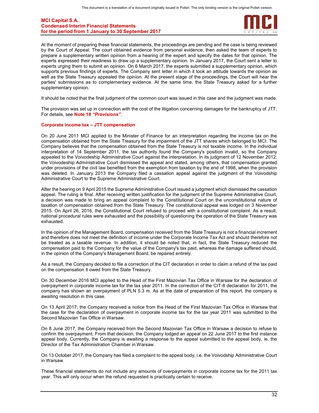

At the moment of preparing these financial statements, the proceedings are pending and the case is being reviewed by the Court of Appeal. The court obtained evidence from personal evidence, then asked the team of experts to prepare a supplementary written opinion from a hearing of the expert and specify the dates for that opinion. The experts expressed their readiness to draw up a supplementary opinion. In January 2017, the Court sent a letter to experts urging them to submit an opinion. On 6 March 2017, the experts submitted a supplementary opinion, which supports previous findings of experts. The Company sent letter in which it took an attitude towards the opinion as well as the State Treasury appealed the opinion. At the present stage of the proceedings, the Court will hear the parties' submissions as to complementary evidence. At the same time, the State Treasury asked for a further supplementary opinion.

It should be noted that the final judgment of the common court was issued in this case and the judgment was made.

The provision was set up in connection with the cost of the litigation concerning damages for the bankruptcy of JTT. For details, see Note 18 "Provisions".

#### Corporate income tax – JTT compensation

On 20 June 2011 MCI applied to the Minister of Finance for an interpretation regarding the income tax on the compensation obtained from the State Treasury for the impairment of the JTT shares which belonged to MCI. The Company believes that the compensation obtained from the State Treasury is not taxable income. In the individual interpretation of 14 September 2011, the tax authority found the Company's position invalid, so the Company appealed to the Voivodeship Administrative Court against the interpretation. In its judgment of 12 November 2012, the Voivodeship Administrative Court dismissed the appeal and stated, among others, that compensation granted under provisions of the civil law benefited from the exemption from taxation by the end of 1998, when the provision was deleted. In January 2013 the Company filed a cassation appeal against the judgment of the Voivodship Administrative Court to the Supreme Administrative Court.

After the hearing on 9 April 2015 the Supreme Administrative Court issued a judgment which dismissed the cassation appeal. The ruling is final. After receiving written justification for the judgment of the Supreme Administrative Court, a decision was made to bring an appeal complaint to the Constitutional Court on the unconstitutional nature of taxation of compensation obtained from the State Treasury. The constitutional appeal was lodged on 3 November 2015. On April 26, 2016, the Constitutional Court refused to proceed with a constitutional complaint. As a result, national procedural rules were exhausted and the possibility of questioning the operation of the State Treasury was exhausted.

In the opinion of the Management Board, compensation received from the State Treasury is not a financial increment and therefore does not meet the definition of income under the Corporate Income Tax Act and should therefore not be treated as a taxable revenue. In addition, it should be noted that, in fact, the State Treasury reduced the compensation paid to the Company for the value of the Company's tax paid, whereas the damage suffered should, in the opinion of the Company's Management Board, be repaired entirely.

As a result, the Company decided to file a correction of the CIT declaration in order to claim a refund of the tax paid on the compensation it owed from the State Treasury.

On 30 December 2016 MCI applied to the Head of the First Mazovian Tax Office in Warsaw for the declaration of overpayment in corporate income tax for the tax year 2011. In the correction of the CIT-8 declaration for 2011, the company has shown an overpayment of PLN 5.3 m. As at the date of preparation of this report, the company is awaiting resolution in this case.

On 13 April 2017, the Company received a notice from the Head of the First Mazovian Tax Office in Warsaw that the case for the declaration of overpayment in corporate income tax for the tax year 2011 was submitted to the Second Mazovian Tax Office in Warsaw.

On 8 June 2017, the Company received from the Second Mazovian Tax Office in Warsaw a decision to refuse to confirm the overpayment. From that decision, the Company lodged an appeal on 22 June 2017 to the first instance appeal body. Currently, the Company is awaiting a response to the appeal submitted to the appeal body, ie. the Director of the Tax Administration Chamber in Warsaw.

On 13 October 2017, the Company has filed a complaint to the appeal body, i.e. the Voivodship Administrative Court in Warsaw.

These financial statements do not include any amounts of overpayments in corporate income tax for the 2011 tax year. This will only occur when the refund requested is practically certain to receive.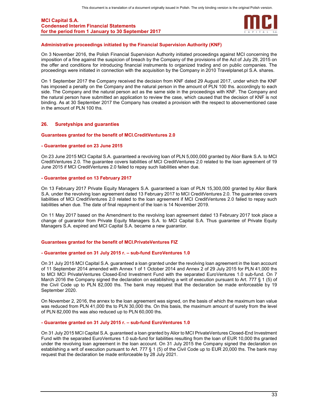

#### Administrative proceedings initiated by the Financial Supervision Authority (KNF)

On 3 November 2016, the Polish Financial Supervision Authority initiated proceedings against MCI concerning the imposition of a fine against the suspicion of breach by the Company of the provisions of the Act of July 29, 2015 on the offer and conditions for introducing financial instruments to organized trading and on public companies. The proceedings were initiated in connection with the acquisition by the Company in 2010 Travelplanet.pl S.A. shares.

On 1 September 2017 the Company received the decision from KNF dated 29 August 2017, under which the KNF has imposed a penalty on the Company and the natural person in the amount of PLN 100 ths. accordingly to each side. The Company and the natural person act as the same side in the proceedings with KNF. The Company and the natural person have submitted an application to review the case, which caused that the decision of KNF is not binding. As at 30 September 2017 the Company has created a provision with the respect to abovementioned case in the amount of PLN 100 ths.

#### 26. Suretyships and guaranties

#### Guarantees granted for the benefit of MCI.CreditVentures 2.0

#### - Guarantee granted on 23 June 2015

On 23 June 2015 MCI Capital S.A. guaranteed a revolving loan of PLN 5,000,000 granted by Alior Bank S.A. to MCI CreditVentures 2.0. The guarantee covers liabilities of MCI CreditVentures 2.0 related to the loan agreement of 19 June 2015 if MCI CreditVentures 2.0 failed to repay such liabilities when due.

#### - Guarantee granted on 13 February 2017

On 13 February 2017 Private Equity Managers S.A. guaranteed a loan of PLN 15,300,000 granted by Alior Bank S.A. under the revolving loan agreement dated 13 February 2017 to MCI CreditVentures 2.0. The guarantee covers liabilities of MCI CreditVentures 2.0 related to the loan agreement if MCI CreditVentures 2.0 failed to repay such liabilities when due. The date of final repayment of the loan is 14 November 2019.

On 11 May 2017 based on the Amendment to the revolving loan agreement dated 13 February 2017 took place a change of guarantor from Private Equity Managers S.A. to MCI Capital S.A. Thus guarantee of Private Equity Managers S.A. expired and MCI Capital S.A. became a new guarantor.

#### Guarantees granted for the benefit of MCI.PrivateVentures FIZ

#### - Guarantee granted on 31 July 2015 r. – sub-fund EuroVentures 1.0

On 31 July 2015 MCI Capital S.A. guaranteed a loan granted under the revolving loan agreement in the loan account of 11 September 2014 amended with Annex 1 of 1 October 2014 and Annex 2 of 29 July 2015 for PLN 41,000 ths to MCI MCI PrivateVentures Closed-End Investment Fund with the separated EuroVentures 1.0 sub-fund. On 7 March 2016 the Company signed the declaration on establishing a writ of execution pursuant to Art. 777 § 1 (5) of the Civil Code up to PLN 82,000 ths. The bank may request that the declaration be made enforceable by 19 September 2020.

On November 2, 2016, the annex to the loan agreement was signed, on the basis of which the maximum loan value was reduced from PLN 41,000 ths to PLN 30,000 ths. On this basis, the maximum amount of surety from the level of PLN 82,000 ths was also reduced up to PLN 60,000 ths.

#### - Guarantee granted on 31 July 2015 r. – sub-fund EuroVentures 1.0

On 31 July 2015 MCI Capital S.A. guaranteed a loan granted by Alior to MCI PrivateVentures Closed-End Investment Fund with the separated EuroVentures 1.0 sub-fund for liabilities resulting from the loan of EUR 10,000 ths granted under the revolving loan agreement in the loan account. On 31 July 2015 the Company signed the declaration on establishing a writ of execution pursuant to Art. 777 § 1 (5) of the Civil Code up to EUR 20,000 ths. The bank may request that the declaration be made enforceable by 28 July 2021.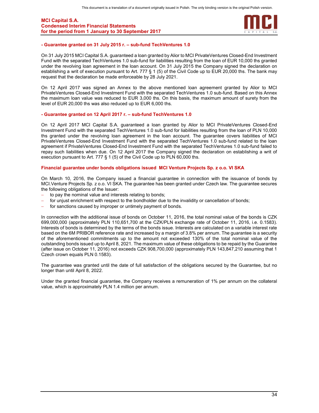

#### - Guarantee granted on 31 July 2015 r. – sub-fund TechVentures 1.0

On 31 July 2015 MCI Capital S.A. guaranteed a loan granted by Alior to MCI PrivateVentures Closed-End Investment Fund with the separated TechVentures 1.0 sub-fund for liabilities resulting from the loan of EUR 10,000 ths granted under the revolving loan agreement in the loan account. On 31 July 2015 the Company signed the declaration on establishing a writ of execution pursuant to Art. 777 § 1 (5) of the Civil Code up to EUR 20,000 ths. The bank may request that the declaration be made enforceable by 28 July 2021.

On 12 April 2017 was signed an Annex to the above mentioned loan agreement granted by Alior to MCI PrivateVentures Closed-End Investment Fund with the separated TechVentures 1.0 sub-fund. Based on this Annex the maximum loan value was reduced to EUR 3,000 ths. On this basis, the maximum amount of surety from the level of EUR 20,000 ths was also reduced up to EUR 6,000 ths.

#### - Guarantee granted on 12 April 2017 r. – sub-fund TechVentures 1.0

On 12 April 2017 MCI Capital S.A. guaranteed a loan granted by Alior to MCI PrivateVentures Closed-End Investment Fund with the separated TechVentures 1.0 sub-fund for liabilities resulting from the loan of PLN 10,000 ths granted under the revolving loan agreement in the loan account. The guarantee covers liabilities of MCI PrivateVentures Closed-End Investment Fund with the separated TechVentures 1.0 sub-fund related to the loan agreement if PrivateVentures Closed-End Investment Fund with the separated TechVentures 1.0 sub-fund failed to repay such liabilities when due. On 12 April 2017 the Company signed the declaration on establishing a writ of execution pursuant to Art. 777 § 1 (5) of the Civil Code up to PLN 60,000 ths.

#### Financial guarantee under bonds obligations issued MCI Venture Projects Sp. z o.o. VI SKA

On March 10, 2016, the Company issued a financial guarantee in connection with the issuance of bonds by MCI.Venture Projects Sp. z o.o. VI SKA. The guarantee has been granted under Czech law. The guarantee secures the following obligations of the Issuer:

- to pay the nominal value and interests relating to bonds;
- for unjust enrichment with respect to the bondholder due to the invalidity or cancellation of bonds;
- for sanctions caused by improper or untimely payment of bonds.

In connection with the additional issue of bonds on October 11, 2016, the total nominal value of the bonds is CZK 699,000,000 (approximately PLN 110,651,700 at the CZK/PLN exchange rate of October 11, 2016, i.e. 0.1583). Interests of bonds is determined by the terms of the bonds issue. Interests are calculated on a variable interest rate based on the 6M PRIBOR reference rate and increased by a margin of 3.8% per annum. The guarantee is a security of the aforementioned commitments up to the amount not exceeded 130% of the total nominal value of the outstanding bonds issued up to April 8, 2021. The maximum value of these obligations to be repaid by the Guarantee (after issue on October 11, 2016) not exceeds CZK 908,700,000 (approximately PLN 143,847,210 assuming that 1 Czech crown equals PLN 0.1583).

The guarantee was granted until the date of full satisfaction of the obligations secured by the Guarantee, but no longer than until April 8, 2022.

Under the granted financial guarantee, the Company receives a remuneration of 1% per annum on the collateral value, which is approximately PLN 1.4 million per annum.